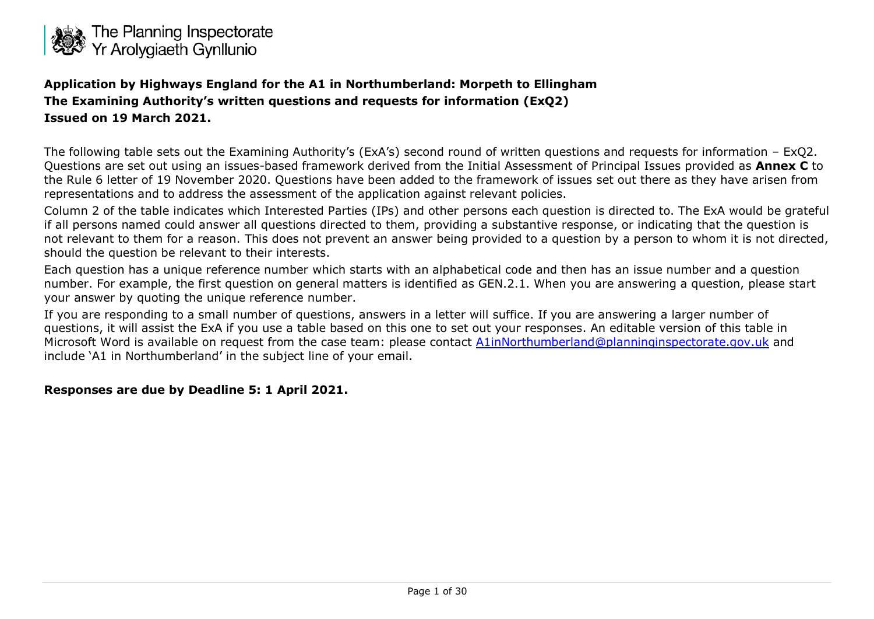

**Application by Highways England for the A1 in Northumberland: Morpeth to Ellingham The Examining Authority's written questions and requests for information (ExQ2) Issued on 19 March 2021.**

The following table sets out the Examining Authority's (ExA's) second round of written questions and requests for information – ExQ2. Questions are set out using an issues-based framework derived from the Initial Assessment of Principal Issues provided as **Annex C** to the Rule 6 letter of 19 November 2020. Questions have been added to the framework of issues set out there as they have arisen from representations and to address the assessment of the application against relevant policies.

Column 2 of the table indicates which Interested Parties (IPs) and other persons each question is directed to. The ExA would be grateful if all persons named could answer all questions directed to them, providing a substantive response, or indicating that the question is not relevant to them for a reason. This does not prevent an answer being provided to a question by a person to whom it is not directed, should the question be relevant to their interests.

Each question has a unique reference number which starts with an alphabetical code and then has an issue number and a question number. For example, the first question on general matters is identified as GEN.2.1. When you are answering a question, please start your answer by quoting the unique reference number.

If you are responding to a small number of questions, answers in a letter will suffice. If you are answering a larger number of questions, it will assist the ExA if you use a table based on this one to set out your responses. An editable version of this table in Microsoft Word is available on request from the case team: please contact [A1inNorthumberland@planninginspectorate.gov.uk](mailto:A1inNorthumberland@planninginspectorate.gov.uk) and include 'A1 in Northumberland' in the subject line of your email.

#### **Responses are due by Deadline 5: 1 April 2021.**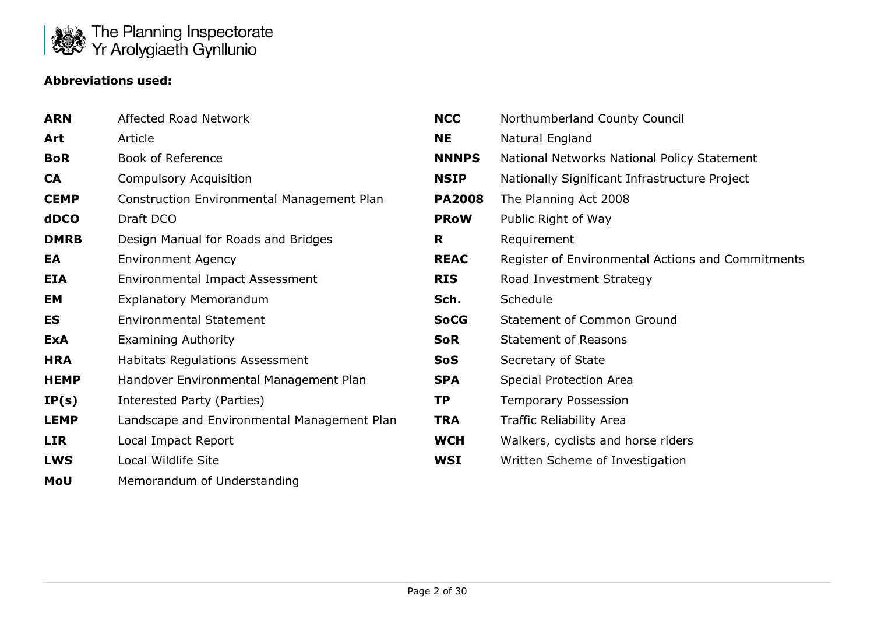

#### **Abbreviations used:**

| <b>ARN</b>  | Affected Road Network                       | <b>NCC</b>    | Northumberland County Council                     |
|-------------|---------------------------------------------|---------------|---------------------------------------------------|
| Art         | Article                                     | <b>NE</b>     | Natural England                                   |
| <b>BoR</b>  | <b>Book of Reference</b>                    | <b>NNNPS</b>  | National Networks National Policy Statement       |
| <b>CA</b>   | <b>Compulsory Acquisition</b>               | <b>NSIP</b>   | Nationally Significant Infrastructure Project     |
| <b>CEMP</b> | Construction Environmental Management Plan  | <b>PA2008</b> | The Planning Act 2008                             |
| <b>dDCO</b> | Draft DCO                                   | <b>PRoW</b>   | Public Right of Way                               |
| <b>DMRB</b> | Design Manual for Roads and Bridges         | R             | Requirement                                       |
| EA          | <b>Environment Agency</b>                   | <b>REAC</b>   | Register of Environmental Actions and Commitments |
| <b>EIA</b>  | Environmental Impact Assessment             | <b>RIS</b>    | Road Investment Strategy                          |
| EM          | <b>Explanatory Memorandum</b>               | Sch.          | Schedule                                          |
| ES          | <b>Environmental Statement</b>              | <b>SoCG</b>   | <b>Statement of Common Ground</b>                 |
| <b>ExA</b>  | <b>Examining Authority</b>                  | <b>SoR</b>    | <b>Statement of Reasons</b>                       |
| <b>HRA</b>  | <b>Habitats Regulations Assessment</b>      | <b>SoS</b>    | Secretary of State                                |
| <b>HEMP</b> | Handover Environmental Management Plan      | <b>SPA</b>    | <b>Special Protection Area</b>                    |
| IP(s)       | Interested Party (Parties)                  | <b>TP</b>     | <b>Temporary Possession</b>                       |
| <b>LEMP</b> | Landscape and Environmental Management Plan | <b>TRA</b>    | <b>Traffic Reliability Area</b>                   |
| <b>LIR</b>  | Local Impact Report                         | <b>WCH</b>    | Walkers, cyclists and horse riders                |
| <b>LWS</b>  | Local Wildlife Site                         | <b>WSI</b>    | Written Scheme of Investigation                   |
| MoU         | Memorandum of Understanding                 |               |                                                   |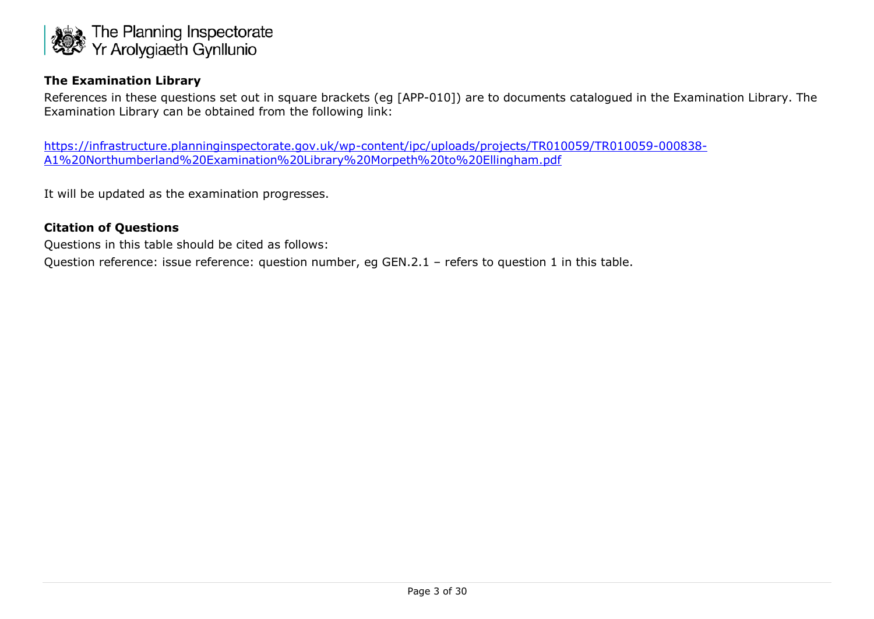

#### **The Examination Library**

References in these questions set out in square brackets (eg [APP-010]) are to documents catalogued in the Examination Library. The Examination Library can be obtained from the following link:

[https://infrastructure.planninginspectorate.gov.uk/wp-content/ipc/uploads/projects/TR010059/TR010059-000838-](https://infrastructure.planninginspectorate.gov.uk/wp-content/ipc/uploads/projects/TR010059/TR010059-000838-A1%20Northumberland%20Examination%20Library%20Morpeth%20to%20Ellingham.pdf) [A1%20Northumberland%20Examination%20Library%20Morpeth%20to%20Ellingham.pdf](https://infrastructure.planninginspectorate.gov.uk/wp-content/ipc/uploads/projects/TR010059/TR010059-000838-A1%20Northumberland%20Examination%20Library%20Morpeth%20to%20Ellingham.pdf)

It will be updated as the examination progresses.

#### **Citation of Questions**

Questions in this table should be cited as follows:

Question reference: issue reference: question number, eg GEN.2.1 - refers to question 1 in this table.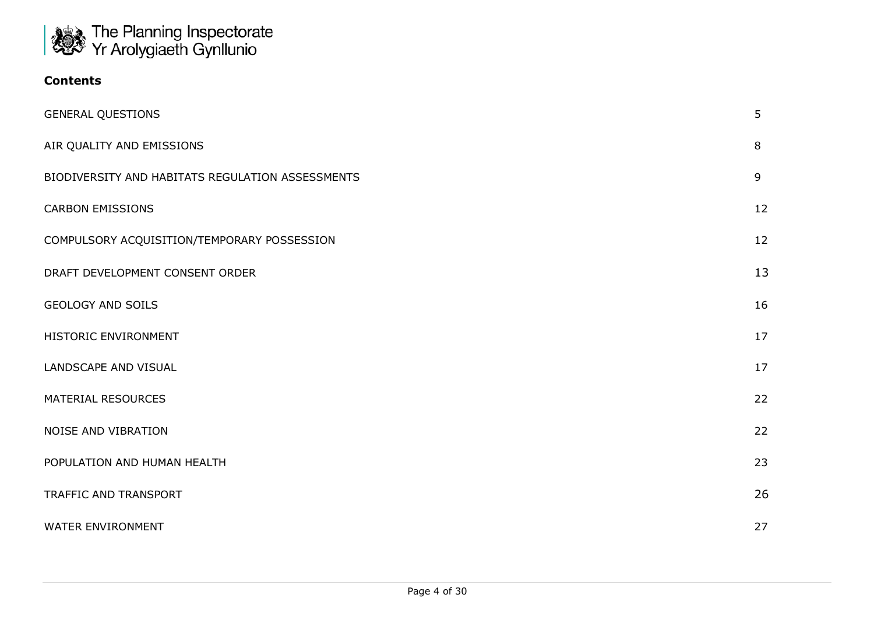

| Contents |  |
|----------|--|
|----------|--|

| <b>GENERAL QUESTIONS</b>                         | 5  |
|--------------------------------------------------|----|
| AIR QUALITY AND EMISSIONS                        | 8  |
| BIODIVERSITY AND HABITATS REGULATION ASSESSMENTS | 9  |
| <b>CARBON EMISSIONS</b>                          | 12 |
| COMPULSORY ACQUISITION/TEMPORARY POSSESSION      | 12 |
| DRAFT DEVELOPMENT CONSENT ORDER                  | 13 |
| <b>GEOLOGY AND SOILS</b>                         | 16 |
| HISTORIC ENVIRONMENT                             | 17 |
| LANDSCAPE AND VISUAL                             | 17 |
| <b>MATERIAL RESOURCES</b>                        | 22 |
| NOISE AND VIBRATION                              | 22 |
| POPULATION AND HUMAN HEALTH                      | 23 |
| TRAFFIC AND TRANSPORT                            | 26 |
| WATER ENVIRONMENT                                | 27 |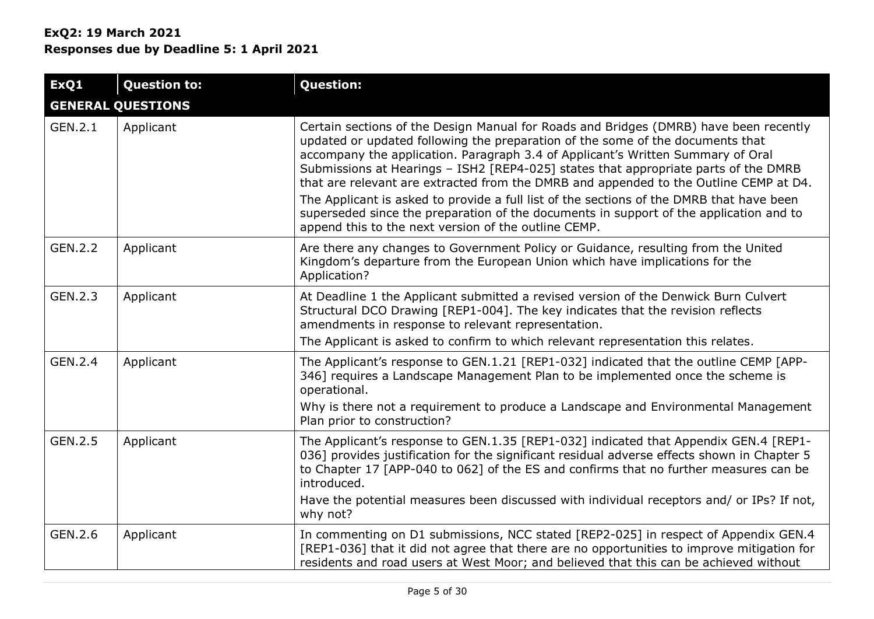| ExQ1    | <b>Question to:</b>      | <b>Question:</b>                                                                                                                                                                                                                                                                                                                                                                                                                                                                                                                                                                                                                                                                         |
|---------|--------------------------|------------------------------------------------------------------------------------------------------------------------------------------------------------------------------------------------------------------------------------------------------------------------------------------------------------------------------------------------------------------------------------------------------------------------------------------------------------------------------------------------------------------------------------------------------------------------------------------------------------------------------------------------------------------------------------------|
|         | <b>GENERAL QUESTIONS</b> |                                                                                                                                                                                                                                                                                                                                                                                                                                                                                                                                                                                                                                                                                          |
| GEN.2.1 | Applicant                | Certain sections of the Design Manual for Roads and Bridges (DMRB) have been recently<br>updated or updated following the preparation of the some of the documents that<br>accompany the application. Paragraph 3.4 of Applicant's Written Summary of Oral<br>Submissions at Hearings - ISH2 [REP4-025] states that appropriate parts of the DMRB<br>that are relevant are extracted from the DMRB and appended to the Outline CEMP at D4.<br>The Applicant is asked to provide a full list of the sections of the DMRB that have been<br>superseded since the preparation of the documents in support of the application and to<br>append this to the next version of the outline CEMP. |
| GEN.2.2 | Applicant                | Are there any changes to Government Policy or Guidance, resulting from the United<br>Kingdom's departure from the European Union which have implications for the<br>Application?                                                                                                                                                                                                                                                                                                                                                                                                                                                                                                         |
| GEN.2.3 | Applicant                | At Deadline 1 the Applicant submitted a revised version of the Denwick Burn Culvert<br>Structural DCO Drawing [REP1-004]. The key indicates that the revision reflects<br>amendments in response to relevant representation.<br>The Applicant is asked to confirm to which relevant representation this relates.                                                                                                                                                                                                                                                                                                                                                                         |
| GEN.2.4 | Applicant                | The Applicant's response to GEN.1.21 [REP1-032] indicated that the outline CEMP [APP-<br>346] requires a Landscape Management Plan to be implemented once the scheme is<br>operational.<br>Why is there not a requirement to produce a Landscape and Environmental Management<br>Plan prior to construction?                                                                                                                                                                                                                                                                                                                                                                             |
| GEN.2.5 | Applicant                | The Applicant's response to GEN.1.35 [REP1-032] indicated that Appendix GEN.4 [REP1-<br>036] provides justification for the significant residual adverse effects shown in Chapter 5<br>to Chapter 17 [APP-040 to 062] of the ES and confirms that no further measures can be<br>introduced.<br>Have the potential measures been discussed with individual receptors and/ or IPs? If not,<br>why not?                                                                                                                                                                                                                                                                                     |
| GEN.2.6 | Applicant                | In commenting on D1 submissions, NCC stated [REP2-025] in respect of Appendix GEN.4<br>[REP1-036] that it did not agree that there are no opportunities to improve mitigation for<br>residents and road users at West Moor; and believed that this can be achieved without                                                                                                                                                                                                                                                                                                                                                                                                               |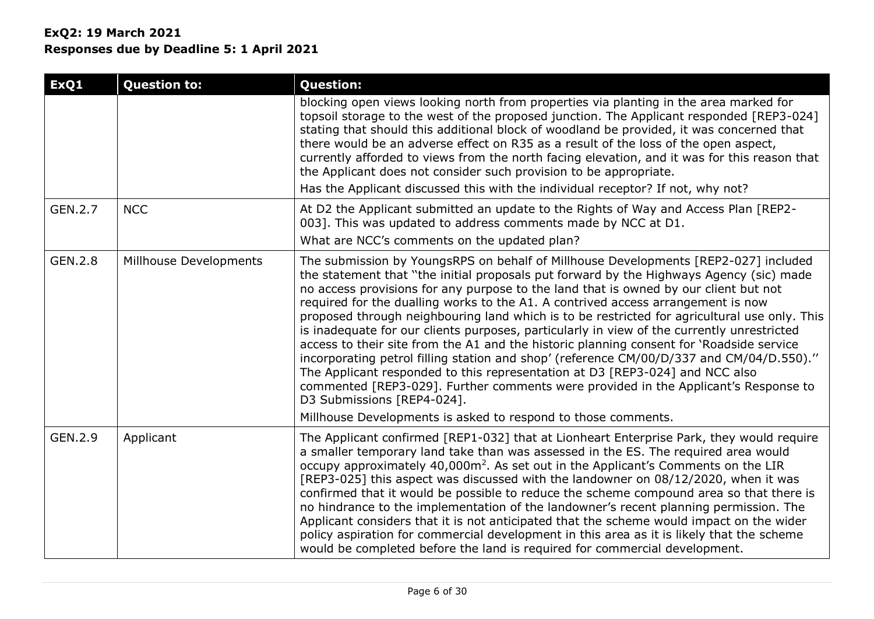| ExQ1    | <b>Question to:</b>    | <b>Question:</b>                                                                                                                                                                                                                                                                                                                                                                                                                                                                                                                                                                                                                                                                                                                                                                                                                                                                                                                                                                                                       |
|---------|------------------------|------------------------------------------------------------------------------------------------------------------------------------------------------------------------------------------------------------------------------------------------------------------------------------------------------------------------------------------------------------------------------------------------------------------------------------------------------------------------------------------------------------------------------------------------------------------------------------------------------------------------------------------------------------------------------------------------------------------------------------------------------------------------------------------------------------------------------------------------------------------------------------------------------------------------------------------------------------------------------------------------------------------------|
|         |                        | blocking open views looking north from properties via planting in the area marked for<br>topsoil storage to the west of the proposed junction. The Applicant responded [REP3-024]<br>stating that should this additional block of woodland be provided, it was concerned that<br>there would be an adverse effect on R35 as a result of the loss of the open aspect,<br>currently afforded to views from the north facing elevation, and it was for this reason that<br>the Applicant does not consider such provision to be appropriate.                                                                                                                                                                                                                                                                                                                                                                                                                                                                              |
|         |                        | Has the Applicant discussed this with the individual receptor? If not, why not?                                                                                                                                                                                                                                                                                                                                                                                                                                                                                                                                                                                                                                                                                                                                                                                                                                                                                                                                        |
| GEN.2.7 | <b>NCC</b>             | At D2 the Applicant submitted an update to the Rights of Way and Access Plan [REP2-<br>003]. This was updated to address comments made by NCC at D1.<br>What are NCC's comments on the updated plan?                                                                                                                                                                                                                                                                                                                                                                                                                                                                                                                                                                                                                                                                                                                                                                                                                   |
| GEN.2.8 | Millhouse Developments | The submission by YoungsRPS on behalf of Millhouse Developments [REP2-027] included<br>the statement that "the initial proposals put forward by the Highways Agency (sic) made<br>no access provisions for any purpose to the land that is owned by our client but not<br>required for the dualling works to the A1. A contrived access arrangement is now<br>proposed through neighbouring land which is to be restricted for agricultural use only. This<br>is inadequate for our clients purposes, particularly in view of the currently unrestricted<br>access to their site from the A1 and the historic planning consent for 'Roadside service<br>incorporating petrol filling station and shop' (reference CM/00/D/337 and CM/04/D.550)."<br>The Applicant responded to this representation at D3 [REP3-024] and NCC also<br>commented [REP3-029]. Further comments were provided in the Applicant's Response to<br>D3 Submissions [REP4-024].<br>Millhouse Developments is asked to respond to those comments. |
| GEN.2.9 | Applicant              | The Applicant confirmed [REP1-032] that at Lionheart Enterprise Park, they would require<br>a smaller temporary land take than was assessed in the ES. The required area would<br>occupy approximately 40,000m <sup>2</sup> . As set out in the Applicant's Comments on the LIR<br>[REP3-025] this aspect was discussed with the landowner on 08/12/2020, when it was<br>confirmed that it would be possible to reduce the scheme compound area so that there is<br>no hindrance to the implementation of the landowner's recent planning permission. The<br>Applicant considers that it is not anticipated that the scheme would impact on the wider<br>policy aspiration for commercial development in this area as it is likely that the scheme<br>would be completed before the land is required for commercial development.                                                                                                                                                                                       |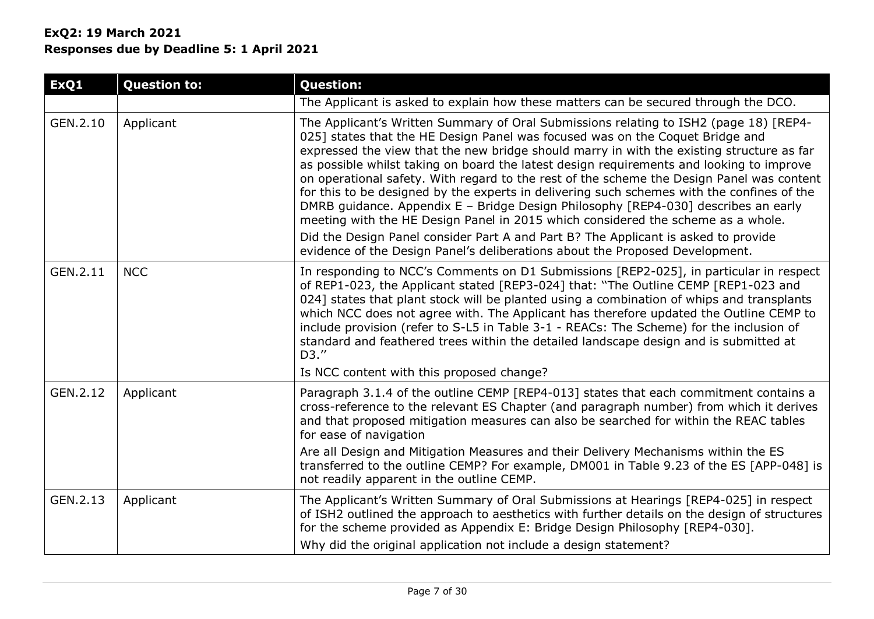| ExQ1     | <b>Question to:</b> | <b>Question:</b>                                                                                                                                                                                                                                                                                                                                                                                                                                                                                                                                                                                                                                                                                                                                                                                                                                                                                           |
|----------|---------------------|------------------------------------------------------------------------------------------------------------------------------------------------------------------------------------------------------------------------------------------------------------------------------------------------------------------------------------------------------------------------------------------------------------------------------------------------------------------------------------------------------------------------------------------------------------------------------------------------------------------------------------------------------------------------------------------------------------------------------------------------------------------------------------------------------------------------------------------------------------------------------------------------------------|
|          |                     | The Applicant is asked to explain how these matters can be secured through the DCO.                                                                                                                                                                                                                                                                                                                                                                                                                                                                                                                                                                                                                                                                                                                                                                                                                        |
| GEN.2.10 | Applicant           | The Applicant's Written Summary of Oral Submissions relating to ISH2 (page 18) [REP4-<br>025] states that the HE Design Panel was focused was on the Coquet Bridge and<br>expressed the view that the new bridge should marry in with the existing structure as far<br>as possible whilst taking on board the latest design requirements and looking to improve<br>on operational safety. With regard to the rest of the scheme the Design Panel was content<br>for this to be designed by the experts in delivering such schemes with the confines of the<br>DMRB guidance. Appendix E - Bridge Design Philosophy [REP4-030] describes an early<br>meeting with the HE Design Panel in 2015 which considered the scheme as a whole.<br>Did the Design Panel consider Part A and Part B? The Applicant is asked to provide<br>evidence of the Design Panel's deliberations about the Proposed Development. |
| GEN.2.11 | <b>NCC</b>          | In responding to NCC's Comments on D1 Submissions [REP2-025], in particular in respect<br>of REP1-023, the Applicant stated [REP3-024] that: "The Outline CEMP [REP1-023 and<br>024] states that plant stock will be planted using a combination of whips and transplants<br>which NCC does not agree with. The Applicant has therefore updated the Outline CEMP to<br>include provision (refer to S-L5 in Table 3-1 - REACs: The Scheme) for the inclusion of<br>standard and feathered trees within the detailed landscape design and is submitted at<br>D3."<br>Is NCC content with this proposed change?                                                                                                                                                                                                                                                                                               |
| GEN.2.12 | Applicant           | Paragraph 3.1.4 of the outline CEMP [REP4-013] states that each commitment contains a<br>cross-reference to the relevant ES Chapter (and paragraph number) from which it derives<br>and that proposed mitigation measures can also be searched for within the REAC tables<br>for ease of navigation<br>Are all Design and Mitigation Measures and their Delivery Mechanisms within the ES<br>transferred to the outline CEMP? For example, DM001 in Table 9.23 of the ES [APP-048] is<br>not readily apparent in the outline CEMP.                                                                                                                                                                                                                                                                                                                                                                         |
| GEN.2.13 | Applicant           | The Applicant's Written Summary of Oral Submissions at Hearings [REP4-025] in respect<br>of ISH2 outlined the approach to aesthetics with further details on the design of structures<br>for the scheme provided as Appendix E: Bridge Design Philosophy [REP4-030].<br>Why did the original application not include a design statement?                                                                                                                                                                                                                                                                                                                                                                                                                                                                                                                                                                   |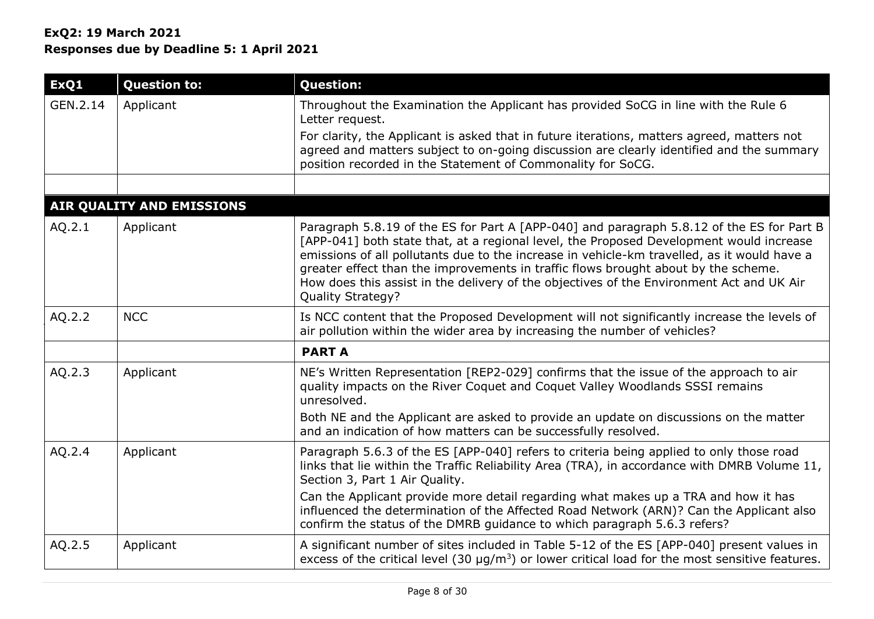| ExQ1     | <b>Question to:</b>       | <b>Question:</b>                                                                                                                                                                                                                                                                                                                                                                                                                                                                                  |
|----------|---------------------------|---------------------------------------------------------------------------------------------------------------------------------------------------------------------------------------------------------------------------------------------------------------------------------------------------------------------------------------------------------------------------------------------------------------------------------------------------------------------------------------------------|
| GEN.2.14 | Applicant                 | Throughout the Examination the Applicant has provided SoCG in line with the Rule 6<br>Letter request.                                                                                                                                                                                                                                                                                                                                                                                             |
|          |                           | For clarity, the Applicant is asked that in future iterations, matters agreed, matters not<br>agreed and matters subject to on-going discussion are clearly identified and the summary<br>position recorded in the Statement of Commonality for SoCG.                                                                                                                                                                                                                                             |
|          |                           |                                                                                                                                                                                                                                                                                                                                                                                                                                                                                                   |
|          | AIR QUALITY AND EMISSIONS |                                                                                                                                                                                                                                                                                                                                                                                                                                                                                                   |
| AQ.2.1   | Applicant                 | Paragraph 5.8.19 of the ES for Part A [APP-040] and paragraph 5.8.12 of the ES for Part B<br>[APP-041] both state that, at a regional level, the Proposed Development would increase<br>emissions of all pollutants due to the increase in vehicle-km travelled, as it would have a<br>greater effect than the improvements in traffic flows brought about by the scheme.<br>How does this assist in the delivery of the objectives of the Environment Act and UK Air<br><b>Quality Strategy?</b> |
| AQ.2.2   | <b>NCC</b>                | Is NCC content that the Proposed Development will not significantly increase the levels of<br>air pollution within the wider area by increasing the number of vehicles?                                                                                                                                                                                                                                                                                                                           |
|          |                           | <b>PART A</b>                                                                                                                                                                                                                                                                                                                                                                                                                                                                                     |
| AQ.2.3   | Applicant                 | NE's Written Representation [REP2-029] confirms that the issue of the approach to air<br>quality impacts on the River Coquet and Coquet Valley Woodlands SSSI remains<br>unresolved.                                                                                                                                                                                                                                                                                                              |
|          |                           | Both NE and the Applicant are asked to provide an update on discussions on the matter<br>and an indication of how matters can be successfully resolved.                                                                                                                                                                                                                                                                                                                                           |
| AQ.2.4   | Applicant                 | Paragraph 5.6.3 of the ES [APP-040] refers to criteria being applied to only those road<br>links that lie within the Traffic Reliability Area (TRA), in accordance with DMRB Volume 11,<br>Section 3, Part 1 Air Quality.                                                                                                                                                                                                                                                                         |
|          |                           | Can the Applicant provide more detail regarding what makes up a TRA and how it has<br>influenced the determination of the Affected Road Network (ARN)? Can the Applicant also<br>confirm the status of the DMRB guidance to which paragraph 5.6.3 refers?                                                                                                                                                                                                                                         |
| AQ.2.5   | Applicant                 | A significant number of sites included in Table 5-12 of the ES [APP-040] present values in<br>excess of the critical level (30 $\mu$ g/m <sup>3</sup> ) or lower critical load for the most sensitive features.                                                                                                                                                                                                                                                                                   |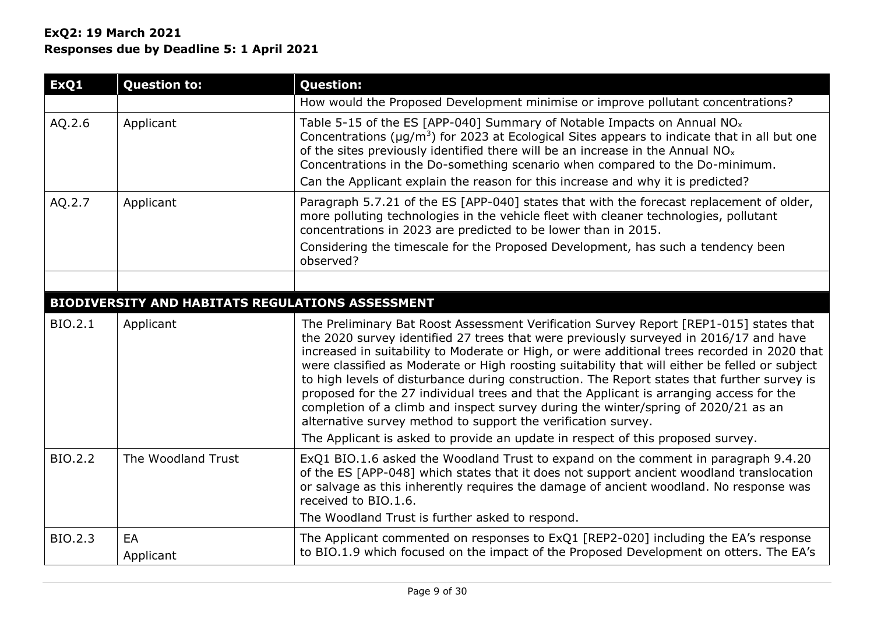| ExQ1    | <b>Question to:</b>                                     | <b>Question:</b>                                                                                                                                                                                                                                                                                                                                                                                                                                                                                                                                                                                                                                                                                                                   |
|---------|---------------------------------------------------------|------------------------------------------------------------------------------------------------------------------------------------------------------------------------------------------------------------------------------------------------------------------------------------------------------------------------------------------------------------------------------------------------------------------------------------------------------------------------------------------------------------------------------------------------------------------------------------------------------------------------------------------------------------------------------------------------------------------------------------|
|         |                                                         | How would the Proposed Development minimise or improve pollutant concentrations?                                                                                                                                                                                                                                                                                                                                                                                                                                                                                                                                                                                                                                                   |
| AQ.2.6  | Applicant                                               | Table 5-15 of the ES [APP-040] Summary of Notable Impacts on Annual $NOx$<br>Concentrations ( $\mu$ g/m <sup>3</sup> ) for 2023 at Ecological Sites appears to indicate that in all but one<br>of the sites previously identified there will be an increase in the Annual $NOx$<br>Concentrations in the Do-something scenario when compared to the Do-minimum.<br>Can the Applicant explain the reason for this increase and why it is predicted?                                                                                                                                                                                                                                                                                 |
| AQ.2.7  | Applicant                                               | Paragraph 5.7.21 of the ES [APP-040] states that with the forecast replacement of older,<br>more polluting technologies in the vehicle fleet with cleaner technologies, pollutant<br>concentrations in 2023 are predicted to be lower than in 2015.<br>Considering the timescale for the Proposed Development, has such a tendency been<br>observed?                                                                                                                                                                                                                                                                                                                                                                               |
|         |                                                         |                                                                                                                                                                                                                                                                                                                                                                                                                                                                                                                                                                                                                                                                                                                                    |
|         | <b>BIODIVERSITY AND HABITATS REGULATIONS ASSESSMENT</b> |                                                                                                                                                                                                                                                                                                                                                                                                                                                                                                                                                                                                                                                                                                                                    |
| BIO.2.1 | Applicant                                               | The Preliminary Bat Roost Assessment Verification Survey Report [REP1-015] states that<br>the 2020 survey identified 27 trees that were previously surveyed in 2016/17 and have<br>increased in suitability to Moderate or High, or were additional trees recorded in 2020 that<br>were classified as Moderate or High roosting suitability that will either be felled or subject<br>to high levels of disturbance during construction. The Report states that further survey is<br>proposed for the 27 individual trees and that the Applicant is arranging access for the<br>completion of a climb and inspect survey during the winter/spring of 2020/21 as an<br>alternative survey method to support the verification survey. |
|         |                                                         | The Applicant is asked to provide an update in respect of this proposed survey.                                                                                                                                                                                                                                                                                                                                                                                                                                                                                                                                                                                                                                                    |
| BIO.2.2 | The Woodland Trust                                      | ExQ1 BIO.1.6 asked the Woodland Trust to expand on the comment in paragraph 9.4.20<br>of the ES [APP-048] which states that it does not support ancient woodland translocation<br>or salvage as this inherently requires the damage of ancient woodland. No response was<br>received to BIO.1.6.<br>The Woodland Trust is further asked to respond.                                                                                                                                                                                                                                                                                                                                                                                |
| BIO.2.3 | EA<br>Applicant                                         | The Applicant commented on responses to ExQ1 [REP2-020] including the EA's response<br>to BIO.1.9 which focused on the impact of the Proposed Development on otters. The EA's                                                                                                                                                                                                                                                                                                                                                                                                                                                                                                                                                      |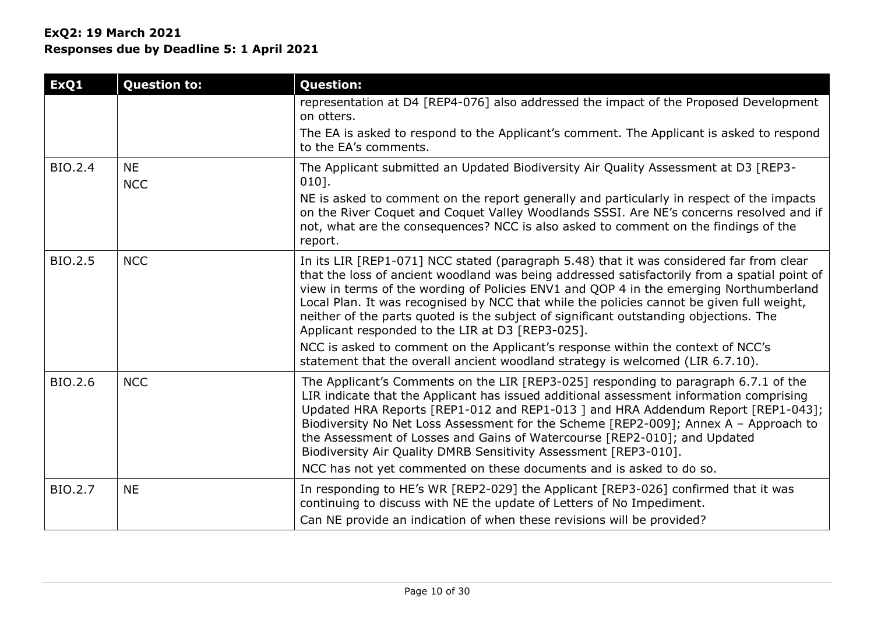## **ExQ2: 19 March 2021**

**Responses due by Deadline 5: 1 April 2021**

| ExQ1           | <b>Question to:</b>     | <b>Question:</b>                                                                                                                                                                                                                                                                                                                                                                                                                                                                                                                                                                   |
|----------------|-------------------------|------------------------------------------------------------------------------------------------------------------------------------------------------------------------------------------------------------------------------------------------------------------------------------------------------------------------------------------------------------------------------------------------------------------------------------------------------------------------------------------------------------------------------------------------------------------------------------|
|                |                         | representation at D4 [REP4-076] also addressed the impact of the Proposed Development<br>on otters.                                                                                                                                                                                                                                                                                                                                                                                                                                                                                |
|                |                         | The EA is asked to respond to the Applicant's comment. The Applicant is asked to respond<br>to the EA's comments.                                                                                                                                                                                                                                                                                                                                                                                                                                                                  |
| <b>BIO.2.4</b> | <b>NE</b><br><b>NCC</b> | The Applicant submitted an Updated Biodiversity Air Quality Assessment at D3 [REP3-<br>$010$ .                                                                                                                                                                                                                                                                                                                                                                                                                                                                                     |
|                |                         | NE is asked to comment on the report generally and particularly in respect of the impacts<br>on the River Coquet and Coquet Valley Woodlands SSSI. Are NE's concerns resolved and if<br>not, what are the consequences? NCC is also asked to comment on the findings of the<br>report.                                                                                                                                                                                                                                                                                             |
| <b>BIO.2.5</b> | <b>NCC</b>              | In its LIR [REP1-071] NCC stated (paragraph 5.48) that it was considered far from clear<br>that the loss of ancient woodland was being addressed satisfactorily from a spatial point of<br>view in terms of the wording of Policies ENV1 and QOP 4 in the emerging Northumberland<br>Local Plan. It was recognised by NCC that while the policies cannot be given full weight,<br>neither of the parts quoted is the subject of significant outstanding objections. The<br>Applicant responded to the LIR at D3 [REP3-025].                                                        |
|                |                         | NCC is asked to comment on the Applicant's response within the context of NCC's<br>statement that the overall ancient woodland strategy is welcomed (LIR 6.7.10).                                                                                                                                                                                                                                                                                                                                                                                                                  |
| BIO.2.6        | <b>NCC</b>              | The Applicant's Comments on the LIR [REP3-025] responding to paragraph 6.7.1 of the<br>LIR indicate that the Applicant has issued additional assessment information comprising<br>Updated HRA Reports [REP1-012 and REP1-013 ] and HRA Addendum Report [REP1-043];<br>Biodiversity No Net Loss Assessment for the Scheme [REP2-009]; Annex A - Approach to<br>the Assessment of Losses and Gains of Watercourse [REP2-010]; and Updated<br>Biodiversity Air Quality DMRB Sensitivity Assessment [REP3-010].<br>NCC has not yet commented on these documents and is asked to do so. |
| <b>BIO.2.7</b> | <b>NE</b>               | In responding to HE's WR [REP2-029] the Applicant [REP3-026] confirmed that it was<br>continuing to discuss with NE the update of Letters of No Impediment.<br>Can NE provide an indication of when these revisions will be provided?                                                                                                                                                                                                                                                                                                                                              |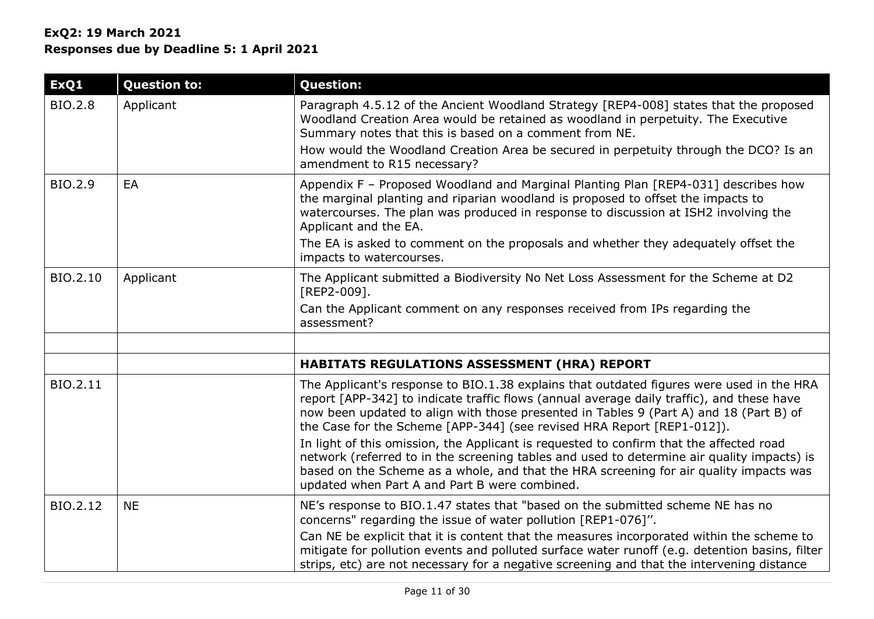| ExQ1           | <b>Question to:</b> | <b>Question:</b>                                                                                                                                                                                                                                                                                                                                                                                         |
|----------------|---------------------|----------------------------------------------------------------------------------------------------------------------------------------------------------------------------------------------------------------------------------------------------------------------------------------------------------------------------------------------------------------------------------------------------------|
| <b>BIO.2.8</b> | Applicant           | Paragraph 4.5.12 of the Ancient Woodland Strategy [REP4-008] states that the proposed<br>Woodland Creation Area would be retained as woodland in perpetuity. The Executive<br>Summary notes that this is based on a comment from NE.                                                                                                                                                                     |
|                |                     | How would the Woodland Creation Area be secured in perpetuity through the DCO? Is an<br>amendment to R15 necessary?                                                                                                                                                                                                                                                                                      |
| BIO.2.9        | EA                  | Appendix F - Proposed Woodland and Marginal Planting Plan [REP4-031] describes how<br>the marginal planting and riparian woodland is proposed to offset the impacts to<br>watercourses. The plan was produced in response to discussion at ISH2 involving the<br>Applicant and the EA.<br>The EA is asked to comment on the proposals and whether they adequately offset the<br>impacts to watercourses. |
| BIO.2.10       | Applicant           | The Applicant submitted a Biodiversity No Net Loss Assessment for the Scheme at D2<br>[REP2-009].<br>Can the Applicant comment on any responses received from IPs regarding the<br>assessment?                                                                                                                                                                                                           |
|                |                     |                                                                                                                                                                                                                                                                                                                                                                                                          |
|                |                     | <b>HABITATS REGULATIONS ASSESSMENT (HRA) REPORT</b>                                                                                                                                                                                                                                                                                                                                                      |
| BIO.2.11       |                     | The Applicant's response to BIO.1.38 explains that outdated figures were used in the HRA<br>report [APP-342] to indicate traffic flows (annual average daily traffic), and these have<br>now been updated to align with those presented in Tables 9 (Part A) and 18 (Part B) of<br>the Case for the Scheme [APP-344] (see revised HRA Report [REP1-012]).                                                |
|                |                     | In light of this omission, the Applicant is requested to confirm that the affected road<br>network (referred to in the screening tables and used to determine air quality impacts) is<br>based on the Scheme as a whole, and that the HRA screening for air quality impacts was<br>updated when Part A and Part B were combined.                                                                         |
| BIO.2.12       | <b>NE</b>           | NE's response to BIO.1.47 states that "based on the submitted scheme NE has no<br>concerns" regarding the issue of water pollution [REP1-076]".                                                                                                                                                                                                                                                          |
|                |                     | Can NE be explicit that it is content that the measures incorporated within the scheme to<br>mitigate for pollution events and polluted surface water runoff (e.g. detention basins, filter<br>strips, etc) are not necessary for a negative screening and that the intervening distance                                                                                                                 |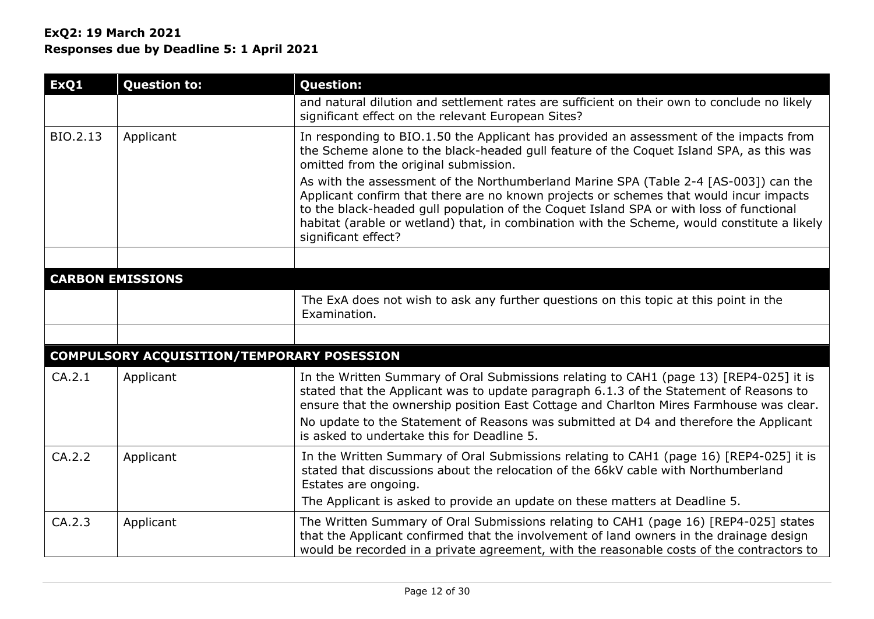| ExQ1     | <b>Question to:</b>                        | <b>Question:</b>                                                                                                                                                                                                                                                                                                                                                                                                                                                                                                                                                                                                              |
|----------|--------------------------------------------|-------------------------------------------------------------------------------------------------------------------------------------------------------------------------------------------------------------------------------------------------------------------------------------------------------------------------------------------------------------------------------------------------------------------------------------------------------------------------------------------------------------------------------------------------------------------------------------------------------------------------------|
|          |                                            | and natural dilution and settlement rates are sufficient on their own to conclude no likely<br>significant effect on the relevant European Sites?                                                                                                                                                                                                                                                                                                                                                                                                                                                                             |
| BIO.2.13 | Applicant                                  | In responding to BIO.1.50 the Applicant has provided an assessment of the impacts from<br>the Scheme alone to the black-headed gull feature of the Coquet Island SPA, as this was<br>omitted from the original submission.<br>As with the assessment of the Northumberland Marine SPA (Table 2-4 [AS-003]) can the<br>Applicant confirm that there are no known projects or schemes that would incur impacts<br>to the black-headed gull population of the Coquet Island SPA or with loss of functional<br>habitat (arable or wetland) that, in combination with the Scheme, would constitute a likely<br>significant effect? |
|          | <b>CARBON EMISSIONS</b>                    |                                                                                                                                                                                                                                                                                                                                                                                                                                                                                                                                                                                                                               |
|          |                                            | The ExA does not wish to ask any further questions on this topic at this point in the<br>Examination.                                                                                                                                                                                                                                                                                                                                                                                                                                                                                                                         |
|          |                                            |                                                                                                                                                                                                                                                                                                                                                                                                                                                                                                                                                                                                                               |
|          | COMPULSORY ACQUISITION/TEMPORARY POSESSION |                                                                                                                                                                                                                                                                                                                                                                                                                                                                                                                                                                                                                               |
| CA.2.1   | Applicant                                  | In the Written Summary of Oral Submissions relating to CAH1 (page 13) [REP4-025] it is<br>stated that the Applicant was to update paragraph 6.1.3 of the Statement of Reasons to<br>ensure that the ownership position East Cottage and Charlton Mires Farmhouse was clear.<br>No update to the Statement of Reasons was submitted at D4 and therefore the Applicant<br>is asked to undertake this for Deadline 5.                                                                                                                                                                                                            |
| CA.2.2   | Applicant                                  | In the Written Summary of Oral Submissions relating to CAH1 (page 16) [REP4-025] it is<br>stated that discussions about the relocation of the 66kV cable with Northumberland<br>Estates are ongoing.                                                                                                                                                                                                                                                                                                                                                                                                                          |
|          |                                            | The Applicant is asked to provide an update on these matters at Deadline 5.                                                                                                                                                                                                                                                                                                                                                                                                                                                                                                                                                   |
| CA.2.3   | Applicant                                  | The Written Summary of Oral Submissions relating to CAH1 (page 16) [REP4-025] states<br>that the Applicant confirmed that the involvement of land owners in the drainage design<br>would be recorded in a private agreement, with the reasonable costs of the contractors to                                                                                                                                                                                                                                                                                                                                                  |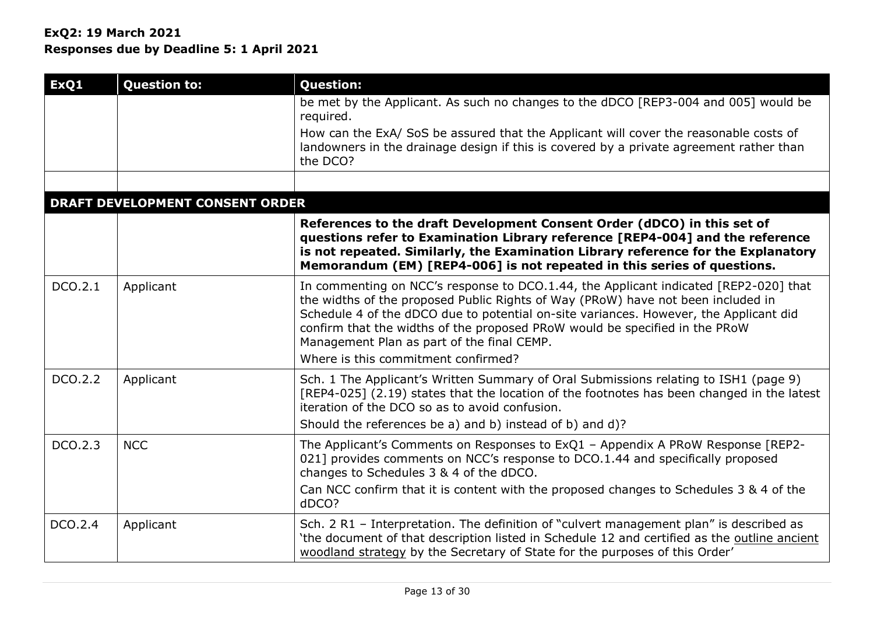## **ExQ2: 19 March 2021**

**Responses due by Deadline 5: 1 April 2021**

| ExQ1    | <b>Question to:</b>                    | <b>Question:</b>                                                                                                                                                                                                                                                                                                                                                                                                                      |
|---------|----------------------------------------|---------------------------------------------------------------------------------------------------------------------------------------------------------------------------------------------------------------------------------------------------------------------------------------------------------------------------------------------------------------------------------------------------------------------------------------|
|         |                                        | be met by the Applicant. As such no changes to the dDCO [REP3-004 and 005] would be<br>required.                                                                                                                                                                                                                                                                                                                                      |
|         |                                        | How can the ExA/ SoS be assured that the Applicant will cover the reasonable costs of<br>landowners in the drainage design if this is covered by a private agreement rather than<br>the DCO?                                                                                                                                                                                                                                          |
|         |                                        |                                                                                                                                                                                                                                                                                                                                                                                                                                       |
|         | <b>DRAFT DEVELOPMENT CONSENT ORDER</b> |                                                                                                                                                                                                                                                                                                                                                                                                                                       |
|         |                                        | References to the draft Development Consent Order (dDCO) in this set of<br>questions refer to Examination Library reference [REP4-004] and the reference<br>is not repeated. Similarly, the Examination Library reference for the Explanatory<br>Memorandum (EM) [REP4-006] is not repeated in this series of questions.                                                                                                              |
| DCO.2.1 | Applicant                              | In commenting on NCC's response to DCO.1.44, the Applicant indicated [REP2-020] that<br>the widths of the proposed Public Rights of Way (PRoW) have not been included in<br>Schedule 4 of the dDCO due to potential on-site variances. However, the Applicant did<br>confirm that the widths of the proposed PRoW would be specified in the PRoW<br>Management Plan as part of the final CEMP.<br>Where is this commitment confirmed? |
| DCO.2.2 | Applicant                              | Sch. 1 The Applicant's Written Summary of Oral Submissions relating to ISH1 (page 9)<br>[REP4-025] (2.19) states that the location of the footnotes has been changed in the latest<br>iteration of the DCO so as to avoid confusion.<br>Should the references be a) and b) instead of b) and d)?                                                                                                                                      |
| DCO.2.3 | <b>NCC</b>                             | The Applicant's Comments on Responses to ExQ1 - Appendix A PRoW Response [REP2-<br>021] provides comments on NCC's response to DCO.1.44 and specifically proposed<br>changes to Schedules 3 & 4 of the dDCO.<br>Can NCC confirm that it is content with the proposed changes to Schedules 3 & 4 of the<br>dDCO?                                                                                                                       |
| DCO.2.4 | Applicant                              | Sch. 2 R1 - Interpretation. The definition of "culvert management plan" is described as<br>'the document of that description listed in Schedule 12 and certified as the outline ancient<br>woodland strategy by the Secretary of State for the purposes of this Order'                                                                                                                                                                |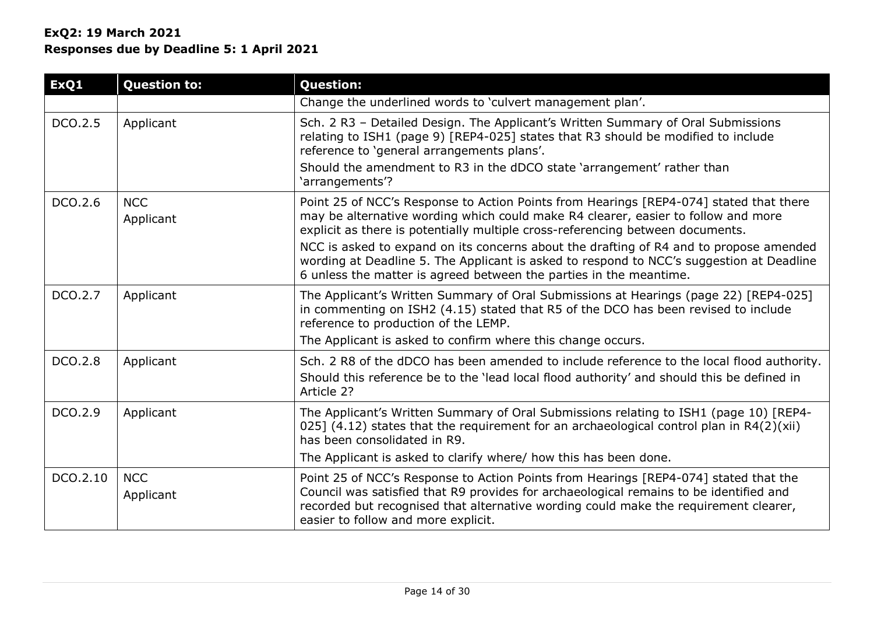| ExQ1     | <b>Question to:</b>     | <b>Question:</b>                                                                                                                                                                                                                                                                                                                                                                                                                                                                                                          |
|----------|-------------------------|---------------------------------------------------------------------------------------------------------------------------------------------------------------------------------------------------------------------------------------------------------------------------------------------------------------------------------------------------------------------------------------------------------------------------------------------------------------------------------------------------------------------------|
|          |                         | Change the underlined words to 'culvert management plan'.                                                                                                                                                                                                                                                                                                                                                                                                                                                                 |
| DCO.2.5  | Applicant               | Sch. 2 R3 - Detailed Design. The Applicant's Written Summary of Oral Submissions<br>relating to ISH1 (page 9) [REP4-025] states that R3 should be modified to include<br>reference to 'general arrangements plans'.<br>Should the amendment to R3 in the dDCO state 'arrangement' rather than<br>'arrangements'?                                                                                                                                                                                                          |
| DCO.2.6  | <b>NCC</b><br>Applicant | Point 25 of NCC's Response to Action Points from Hearings [REP4-074] stated that there<br>may be alternative wording which could make R4 clearer, easier to follow and more<br>explicit as there is potentially multiple cross-referencing between documents.<br>NCC is asked to expand on its concerns about the drafting of R4 and to propose amended<br>wording at Deadline 5. The Applicant is asked to respond to NCC's suggestion at Deadline<br>6 unless the matter is agreed between the parties in the meantime. |
| DCO.2.7  | Applicant               | The Applicant's Written Summary of Oral Submissions at Hearings (page 22) [REP4-025]<br>in commenting on ISH2 (4.15) stated that R5 of the DCO has been revised to include<br>reference to production of the LEMP.<br>The Applicant is asked to confirm where this change occurs.                                                                                                                                                                                                                                         |
|          |                         |                                                                                                                                                                                                                                                                                                                                                                                                                                                                                                                           |
| DCO.2.8  | Applicant               | Sch. 2 R8 of the dDCO has been amended to include reference to the local flood authority.<br>Should this reference be to the 'lead local flood authority' and should this be defined in<br>Article 2?                                                                                                                                                                                                                                                                                                                     |
| DCO.2.9  | Applicant               | The Applicant's Written Summary of Oral Submissions relating to ISH1 (page 10) [REP4-<br>025] $(4.12)$ states that the requirement for an archaeological control plan in R4 $(2)(xii)$<br>has been consolidated in R9.                                                                                                                                                                                                                                                                                                    |
|          |                         | The Applicant is asked to clarify where/ how this has been done.                                                                                                                                                                                                                                                                                                                                                                                                                                                          |
| DCO.2.10 | <b>NCC</b><br>Applicant | Point 25 of NCC's Response to Action Points from Hearings [REP4-074] stated that the<br>Council was satisfied that R9 provides for archaeological remains to be identified and<br>recorded but recognised that alternative wording could make the requirement clearer,<br>easier to follow and more explicit.                                                                                                                                                                                                             |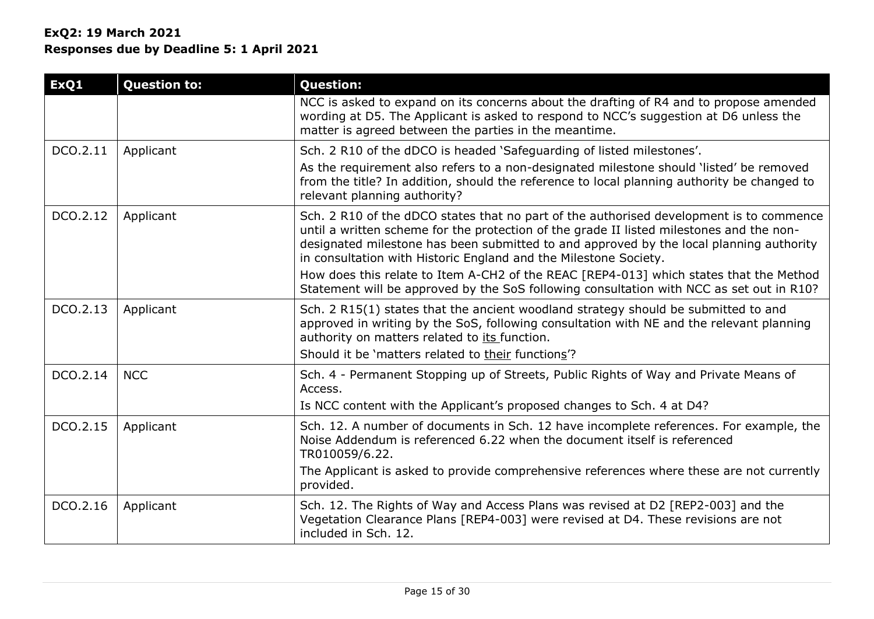| ExQ1     | <b>Question to:</b> | <b>Question:</b>                                                                                                                                                                                                                                                                                                                                   |
|----------|---------------------|----------------------------------------------------------------------------------------------------------------------------------------------------------------------------------------------------------------------------------------------------------------------------------------------------------------------------------------------------|
|          |                     | NCC is asked to expand on its concerns about the drafting of R4 and to propose amended<br>wording at D5. The Applicant is asked to respond to NCC's suggestion at D6 unless the<br>matter is agreed between the parties in the meantime.                                                                                                           |
| DCO.2.11 | Applicant           | Sch. 2 R10 of the dDCO is headed 'Safeguarding of listed milestones'.                                                                                                                                                                                                                                                                              |
|          |                     | As the requirement also refers to a non-designated milestone should 'listed' be removed<br>from the title? In addition, should the reference to local planning authority be changed to<br>relevant planning authority?                                                                                                                             |
| DCO.2.12 | Applicant           | Sch. 2 R10 of the dDCO states that no part of the authorised development is to commence<br>until a written scheme for the protection of the grade II listed milestones and the non-<br>designated milestone has been submitted to and approved by the local planning authority<br>in consultation with Historic England and the Milestone Society. |
|          |                     | How does this relate to Item A-CH2 of the REAC [REP4-013] which states that the Method<br>Statement will be approved by the SoS following consultation with NCC as set out in R10?                                                                                                                                                                 |
| DCO.2.13 | Applicant           | Sch. 2 R15(1) states that the ancient woodland strategy should be submitted to and<br>approved in writing by the SoS, following consultation with NE and the relevant planning<br>authority on matters related to its function.                                                                                                                    |
|          |                     | Should it be 'matters related to their functions'?                                                                                                                                                                                                                                                                                                 |
| DCO.2.14 | <b>NCC</b>          | Sch. 4 - Permanent Stopping up of Streets, Public Rights of Way and Private Means of<br>Access.                                                                                                                                                                                                                                                    |
|          |                     | Is NCC content with the Applicant's proposed changes to Sch. 4 at D4?                                                                                                                                                                                                                                                                              |
| DCO.2.15 | Applicant           | Sch. 12. A number of documents in Sch. 12 have incomplete references. For example, the<br>Noise Addendum is referenced 6.22 when the document itself is referenced<br>TR010059/6.22.                                                                                                                                                               |
|          |                     | The Applicant is asked to provide comprehensive references where these are not currently<br>provided.                                                                                                                                                                                                                                              |
| DCO.2.16 | Applicant           | Sch. 12. The Rights of Way and Access Plans was revised at D2 [REP2-003] and the<br>Vegetation Clearance Plans [REP4-003] were revised at D4. These revisions are not<br>included in Sch. 12.                                                                                                                                                      |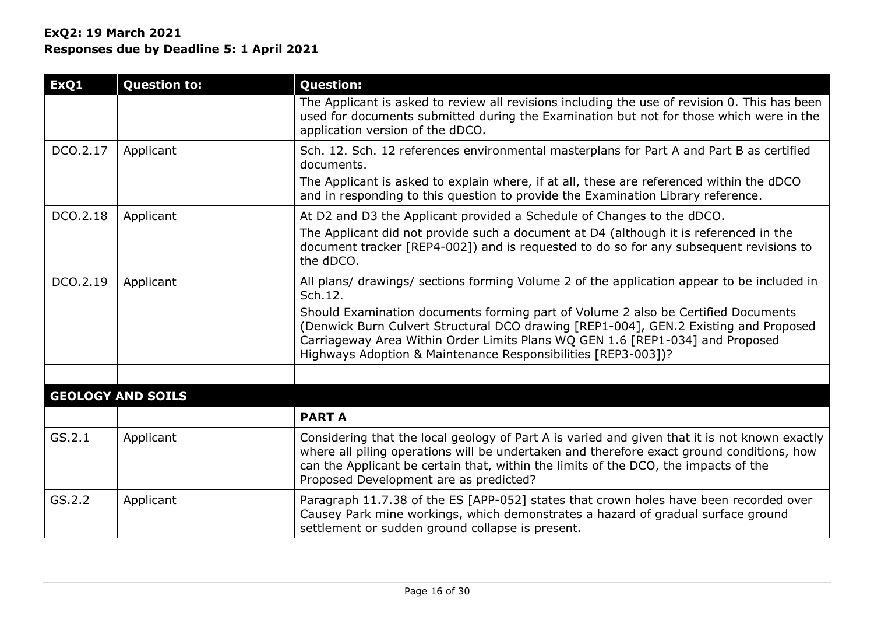| ExQ1     | <b>Question to:</b>      | <b>Question:</b>                                                                                                                                                                                                                                                                                                            |
|----------|--------------------------|-----------------------------------------------------------------------------------------------------------------------------------------------------------------------------------------------------------------------------------------------------------------------------------------------------------------------------|
|          |                          | The Applicant is asked to review all revisions including the use of revision 0. This has been<br>used for documents submitted during the Examination but not for those which were in the<br>application version of the dDCO.                                                                                                |
| DCO.2.17 | Applicant                | Sch. 12. Sch. 12 references environmental masterplans for Part A and Part B as certified<br>documents.                                                                                                                                                                                                                      |
|          |                          | The Applicant is asked to explain where, if at all, these are referenced within the dDCO<br>and in responding to this question to provide the Examination Library reference.                                                                                                                                                |
| DCO.2.18 | Applicant                | At D2 and D3 the Applicant provided a Schedule of Changes to the dDCO.                                                                                                                                                                                                                                                      |
|          |                          | The Applicant did not provide such a document at D4 (although it is referenced in the<br>document tracker [REP4-002]) and is requested to do so for any subsequent revisions to<br>the dDCO.                                                                                                                                |
| DCO.2.19 | Applicant                | All plans/ drawings/ sections forming Volume 2 of the application appear to be included in<br>Sch.12.                                                                                                                                                                                                                       |
|          |                          | Should Examination documents forming part of Volume 2 also be Certified Documents<br>(Denwick Burn Culvert Structural DCO drawing [REP1-004], GEN.2 Existing and Proposed<br>Carriageway Area Within Order Limits Plans WQ GEN 1.6 [REP1-034] and Proposed<br>Highways Adoption & Maintenance Responsibilities [REP3-003])? |
|          |                          |                                                                                                                                                                                                                                                                                                                             |
|          | <b>GEOLOGY AND SOILS</b> |                                                                                                                                                                                                                                                                                                                             |
|          |                          | <b>PART A</b>                                                                                                                                                                                                                                                                                                               |
| GS.2.1   | Applicant                | Considering that the local geology of Part A is varied and given that it is not known exactly<br>where all piling operations will be undertaken and therefore exact ground conditions, how<br>can the Applicant be certain that, within the limits of the DCO, the impacts of the<br>Proposed Development are as predicted? |
| GS.2.2   | Applicant                | Paragraph 11.7.38 of the ES [APP-052] states that crown holes have been recorded over<br>Causey Park mine workings, which demonstrates a hazard of gradual surface ground<br>settlement or sudden ground collapse is present.                                                                                               |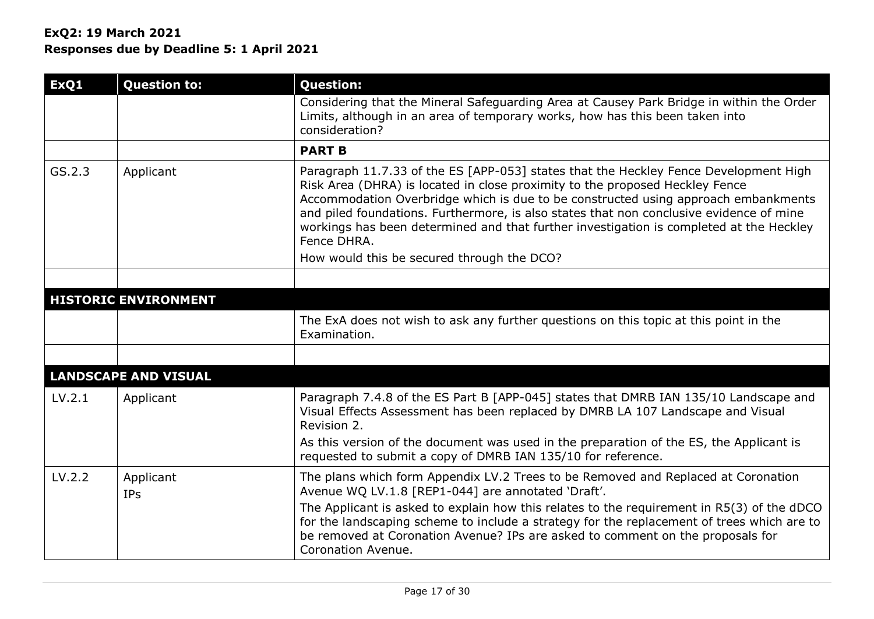| ExQ1   | <b>Question to:</b>         | <b>Question:</b>                                                                                                                                                                                                                                                                                                                                                                                                                                                |
|--------|-----------------------------|-----------------------------------------------------------------------------------------------------------------------------------------------------------------------------------------------------------------------------------------------------------------------------------------------------------------------------------------------------------------------------------------------------------------------------------------------------------------|
|        |                             | Considering that the Mineral Safeguarding Area at Causey Park Bridge in within the Order<br>Limits, although in an area of temporary works, how has this been taken into<br>consideration?                                                                                                                                                                                                                                                                      |
|        |                             | <b>PART B</b>                                                                                                                                                                                                                                                                                                                                                                                                                                                   |
| GS.2.3 | Applicant                   | Paragraph 11.7.33 of the ES [APP-053] states that the Heckley Fence Development High<br>Risk Area (DHRA) is located in close proximity to the proposed Heckley Fence<br>Accommodation Overbridge which is due to be constructed using approach embankments<br>and piled foundations. Furthermore, is also states that non conclusive evidence of mine<br>workings has been determined and that further investigation is completed at the Heckley<br>Fence DHRA. |
|        |                             | How would this be secured through the DCO?                                                                                                                                                                                                                                                                                                                                                                                                                      |
|        |                             |                                                                                                                                                                                                                                                                                                                                                                                                                                                                 |
|        | <b>HISTORIC ENVIRONMENT</b> |                                                                                                                                                                                                                                                                                                                                                                                                                                                                 |
|        |                             | The ExA does not wish to ask any further questions on this topic at this point in the<br>Examination.                                                                                                                                                                                                                                                                                                                                                           |
|        |                             |                                                                                                                                                                                                                                                                                                                                                                                                                                                                 |
|        | <b>LANDSCAPE AND VISUAL</b> |                                                                                                                                                                                                                                                                                                                                                                                                                                                                 |
| LV.2.1 | Applicant                   | Paragraph 7.4.8 of the ES Part B [APP-045] states that DMRB IAN 135/10 Landscape and<br>Visual Effects Assessment has been replaced by DMRB LA 107 Landscape and Visual<br>Revision 2.                                                                                                                                                                                                                                                                          |
|        |                             | As this version of the document was used in the preparation of the ES, the Applicant is<br>requested to submit a copy of DMRB IAN 135/10 for reference.                                                                                                                                                                                                                                                                                                         |
| LV.2.2 | Applicant<br><b>IPs</b>     | The plans which form Appendix LV.2 Trees to be Removed and Replaced at Coronation<br>Avenue WQ LV.1.8 [REP1-044] are annotated 'Draft'.<br>The Applicant is asked to explain how this relates to the requirement in R5(3) of the dDCO<br>for the landscaping scheme to include a strategy for the replacement of trees which are to<br>be removed at Coronation Avenue? IPs are asked to comment on the proposals for                                           |
|        |                             | Coronation Avenue.                                                                                                                                                                                                                                                                                                                                                                                                                                              |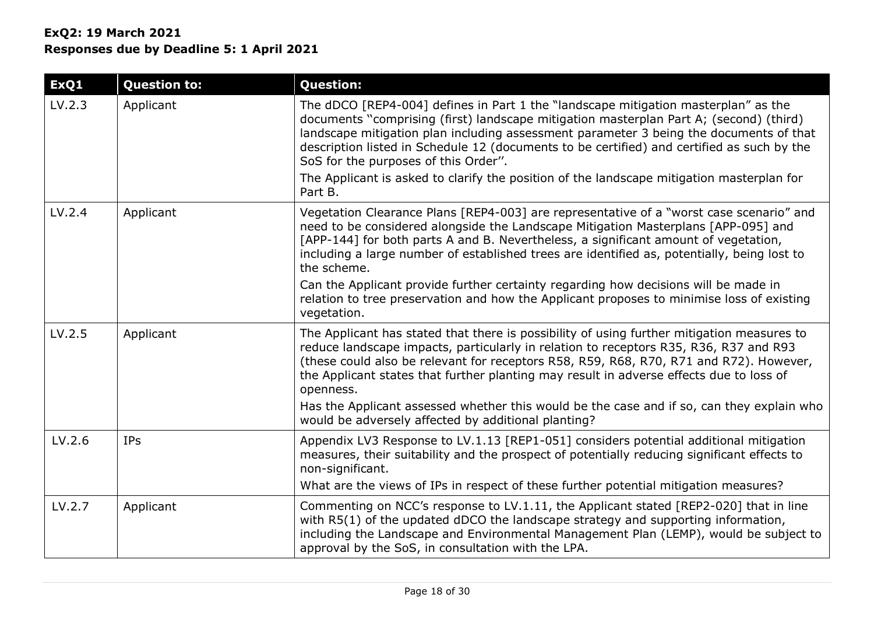| ExQ1   | <b>Question to:</b> | <b>Question:</b>                                                                                                                                                                                                                                                                                                                                                                                             |
|--------|---------------------|--------------------------------------------------------------------------------------------------------------------------------------------------------------------------------------------------------------------------------------------------------------------------------------------------------------------------------------------------------------------------------------------------------------|
| LV.2.3 | Applicant           | The dDCO [REP4-004] defines in Part 1 the "landscape mitigation masterplan" as the<br>documents "comprising (first) landscape mitigation masterplan Part A; (second) (third)<br>landscape mitigation plan including assessment parameter 3 being the documents of that<br>description listed in Schedule 12 (documents to be certified) and certified as such by the<br>SoS for the purposes of this Order". |
|        |                     | The Applicant is asked to clarify the position of the landscape mitigation masterplan for<br>Part B.                                                                                                                                                                                                                                                                                                         |
| LV.2.4 | Applicant           | Vegetation Clearance Plans [REP4-003] are representative of a "worst case scenario" and<br>need to be considered alongside the Landscape Mitigation Masterplans [APP-095] and<br>[APP-144] for both parts A and B. Nevertheless, a significant amount of vegetation,<br>including a large number of established trees are identified as, potentially, being lost to<br>the scheme.                           |
|        |                     | Can the Applicant provide further certainty regarding how decisions will be made in<br>relation to tree preservation and how the Applicant proposes to minimise loss of existing<br>vegetation.                                                                                                                                                                                                              |
| LV.2.5 | Applicant           | The Applicant has stated that there is possibility of using further mitigation measures to<br>reduce landscape impacts, particularly in relation to receptors R35, R36, R37 and R93<br>(these could also be relevant for receptors R58, R59, R68, R70, R71 and R72). However,<br>the Applicant states that further planting may result in adverse effects due to loss of<br>openness.                        |
|        |                     | Has the Applicant assessed whether this would be the case and if so, can they explain who<br>would be adversely affected by additional planting?                                                                                                                                                                                                                                                             |
| LV.2.6 | <b>IPs</b>          | Appendix LV3 Response to LV.1.13 [REP1-051] considers potential additional mitigation<br>measures, their suitability and the prospect of potentially reducing significant effects to<br>non-significant.                                                                                                                                                                                                     |
|        |                     | What are the views of IPs in respect of these further potential mitigation measures?                                                                                                                                                                                                                                                                                                                         |
| LV.2.7 | Applicant           | Commenting on NCC's response to LV.1.11, the Applicant stated [REP2-020] that in line<br>with R5(1) of the updated dDCO the landscape strategy and supporting information,<br>including the Landscape and Environmental Management Plan (LEMP), would be subject to<br>approval by the SoS, in consultation with the LPA.                                                                                    |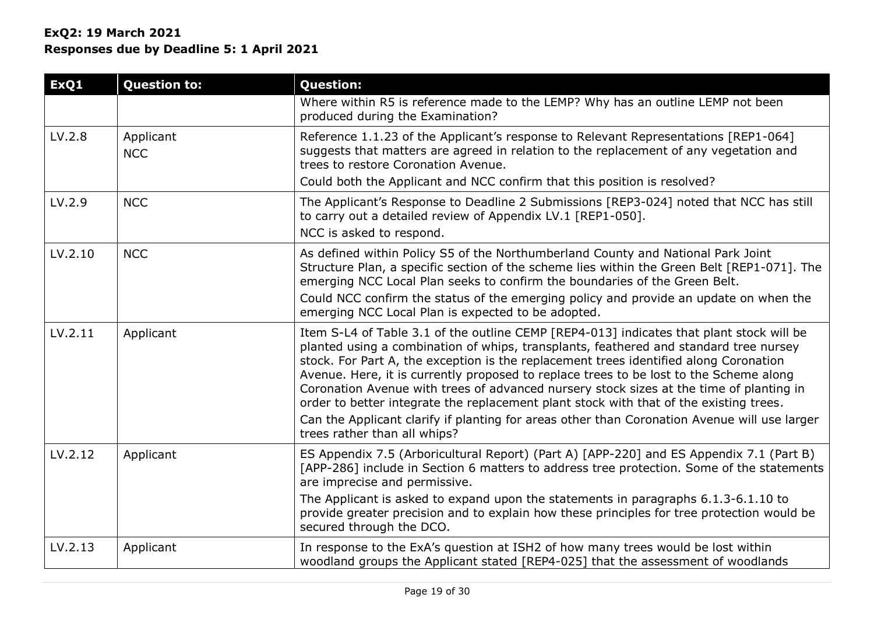| ExQ1    | <b>Question to:</b>     | <b>Question:</b>                                                                                                                                                                                                                                                                                                                                                                                                                                                                                                                                                                                                                                                                          |
|---------|-------------------------|-------------------------------------------------------------------------------------------------------------------------------------------------------------------------------------------------------------------------------------------------------------------------------------------------------------------------------------------------------------------------------------------------------------------------------------------------------------------------------------------------------------------------------------------------------------------------------------------------------------------------------------------------------------------------------------------|
|         |                         | Where within R5 is reference made to the LEMP? Why has an outline LEMP not been<br>produced during the Examination?                                                                                                                                                                                                                                                                                                                                                                                                                                                                                                                                                                       |
| LV.2.8  | Applicant<br><b>NCC</b> | Reference 1.1.23 of the Applicant's response to Relevant Representations [REP1-064]<br>suggests that matters are agreed in relation to the replacement of any vegetation and<br>trees to restore Coronation Avenue.                                                                                                                                                                                                                                                                                                                                                                                                                                                                       |
|         |                         | Could both the Applicant and NCC confirm that this position is resolved?                                                                                                                                                                                                                                                                                                                                                                                                                                                                                                                                                                                                                  |
| LV.2.9  | <b>NCC</b>              | The Applicant's Response to Deadline 2 Submissions [REP3-024] noted that NCC has still<br>to carry out a detailed review of Appendix LV.1 [REP1-050].<br>NCC is asked to respond.                                                                                                                                                                                                                                                                                                                                                                                                                                                                                                         |
| LV.2.10 | <b>NCC</b>              | As defined within Policy S5 of the Northumberland County and National Park Joint<br>Structure Plan, a specific section of the scheme lies within the Green Belt [REP1-071]. The<br>emerging NCC Local Plan seeks to confirm the boundaries of the Green Belt.<br>Could NCC confirm the status of the emerging policy and provide an update on when the<br>emerging NCC Local Plan is expected to be adopted.                                                                                                                                                                                                                                                                              |
| LV.2.11 | Applicant               | Item S-L4 of Table 3.1 of the outline CEMP [REP4-013] indicates that plant stock will be<br>planted using a combination of whips, transplants, feathered and standard tree nursey<br>stock. For Part A, the exception is the replacement trees identified along Coronation<br>Avenue. Here, it is currently proposed to replace trees to be lost to the Scheme along<br>Coronation Avenue with trees of advanced nursery stock sizes at the time of planting in<br>order to better integrate the replacement plant stock with that of the existing trees.<br>Can the Applicant clarify if planting for areas other than Coronation Avenue will use larger<br>trees rather than all whips? |
| LV.2.12 | Applicant               | ES Appendix 7.5 (Arboricultural Report) (Part A) [APP-220] and ES Appendix 7.1 (Part B)<br>[APP-286] include in Section 6 matters to address tree protection. Some of the statements<br>are imprecise and permissive.<br>The Applicant is asked to expand upon the statements in paragraphs 6.1.3-6.1.10 to<br>provide greater precision and to explain how these principles for tree protection would be<br>secured through the DCO.                                                                                                                                                                                                                                                     |
| LV.2.13 | Applicant               | In response to the ExA's question at ISH2 of how many trees would be lost within<br>woodland groups the Applicant stated [REP4-025] that the assessment of woodlands                                                                                                                                                                                                                                                                                                                                                                                                                                                                                                                      |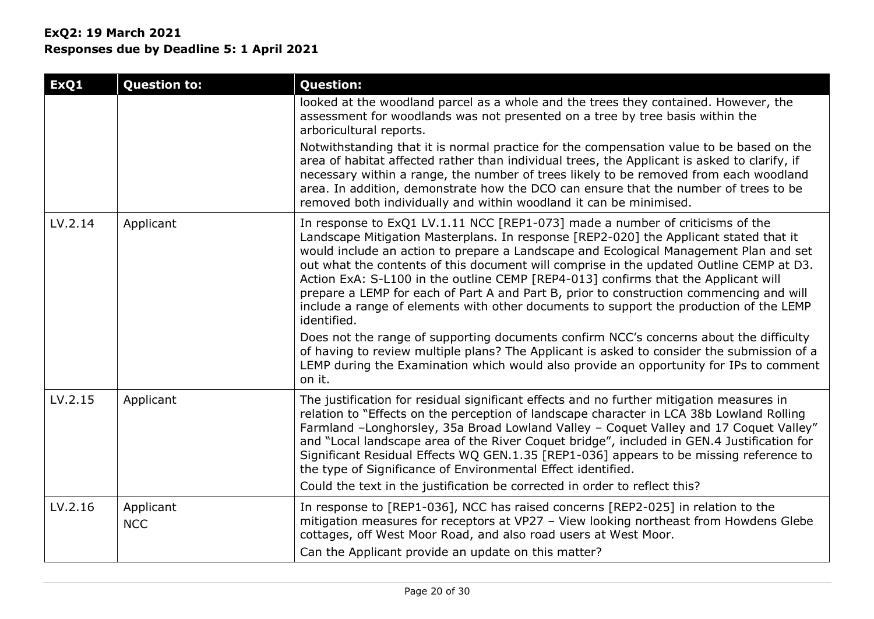**State College** 

| ExQ1    | <b>Question to:</b>     | <b>Question:</b>                                                                                                                                                                                                                                                                                                                                                                                                                                                                                                                                                                                                                                     |
|---------|-------------------------|------------------------------------------------------------------------------------------------------------------------------------------------------------------------------------------------------------------------------------------------------------------------------------------------------------------------------------------------------------------------------------------------------------------------------------------------------------------------------------------------------------------------------------------------------------------------------------------------------------------------------------------------------|
|         |                         | looked at the woodland parcel as a whole and the trees they contained. However, the<br>assessment for woodlands was not presented on a tree by tree basis within the<br>arboricultural reports.                                                                                                                                                                                                                                                                                                                                                                                                                                                      |
|         |                         | Notwithstanding that it is normal practice for the compensation value to be based on the<br>area of habitat affected rather than individual trees, the Applicant is asked to clarify, if<br>necessary within a range, the number of trees likely to be removed from each woodland<br>area. In addition, demonstrate how the DCO can ensure that the number of trees to be<br>removed both individually and within woodland it can be minimised.                                                                                                                                                                                                      |
| LV.2.14 | Applicant               | In response to ExQ1 LV.1.11 NCC [REP1-073] made a number of criticisms of the<br>Landscape Mitigation Masterplans. In response [REP2-020] the Applicant stated that it<br>would include an action to prepare a Landscape and Ecological Management Plan and set<br>out what the contents of this document will comprise in the updated Outline CEMP at D3.<br>Action ExA: S-L100 in the outline CEMP [REP4-013] confirms that the Applicant will<br>prepare a LEMP for each of Part A and Part B, prior to construction commencing and will<br>include a range of elements with other documents to support the production of the LEMP<br>identified. |
|         |                         | Does not the range of supporting documents confirm NCC's concerns about the difficulty<br>of having to review multiple plans? The Applicant is asked to consider the submission of a<br>LEMP during the Examination which would also provide an opportunity for IPs to comment<br>on it.                                                                                                                                                                                                                                                                                                                                                             |
| LV.2.15 | Applicant               | The justification for residual significant effects and no further mitigation measures in<br>relation to "Effects on the perception of landscape character in LCA 38b Lowland Rolling<br>Farmland -Longhorsley, 35a Broad Lowland Valley - Coquet Valley and 17 Coquet Valley"<br>and "Local landscape area of the River Coquet bridge", included in GEN.4 Justification for<br>Significant Residual Effects WQ GEN.1.35 [REP1-036] appears to be missing reference to<br>the type of Significance of Environmental Effect identified.<br>Could the text in the justification be corrected in order to reflect this?                                  |
| LV.2.16 | Applicant<br><b>NCC</b> | In response to [REP1-036], NCC has raised concerns [REP2-025] in relation to the<br>mitigation measures for receptors at VP27 - View looking northeast from Howdens Glebe<br>cottages, off West Moor Road, and also road users at West Moor.<br>Can the Applicant provide an update on this matter?                                                                                                                                                                                                                                                                                                                                                  |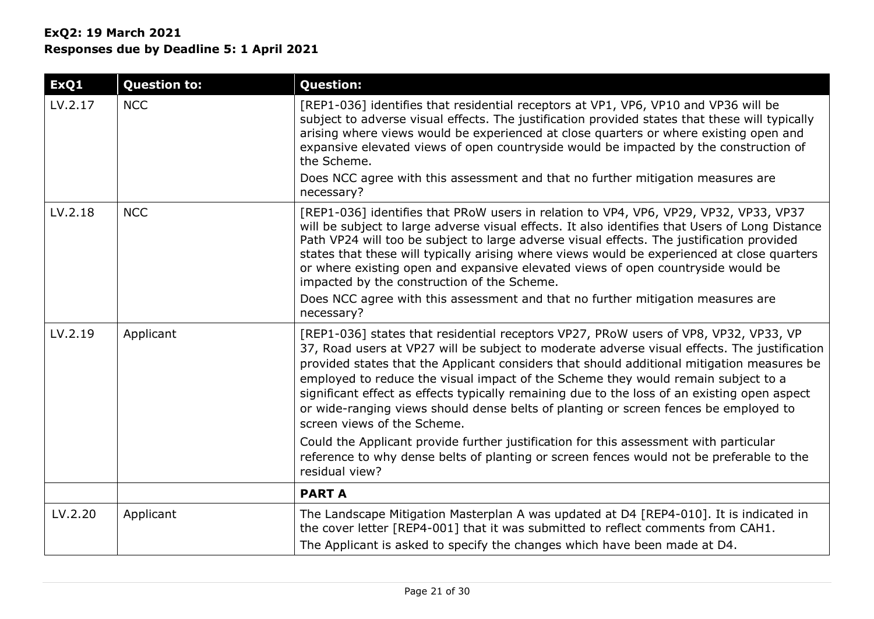| ExQ1    | <b>Question to:</b> | <b>Question:</b>                                                                                                                                                                                                                                                                                                                                                                                                                                                                                                                                                                                                         |
|---------|---------------------|--------------------------------------------------------------------------------------------------------------------------------------------------------------------------------------------------------------------------------------------------------------------------------------------------------------------------------------------------------------------------------------------------------------------------------------------------------------------------------------------------------------------------------------------------------------------------------------------------------------------------|
| LV.2.17 | <b>NCC</b>          | [REP1-036] identifies that residential receptors at VP1, VP6, VP10 and VP36 will be<br>subject to adverse visual effects. The justification provided states that these will typically<br>arising where views would be experienced at close quarters or where existing open and<br>expansive elevated views of open countryside would be impacted by the construction of<br>the Scheme.                                                                                                                                                                                                                                   |
|         |                     | Does NCC agree with this assessment and that no further mitigation measures are<br>necessary?                                                                                                                                                                                                                                                                                                                                                                                                                                                                                                                            |
| LV.2.18 | <b>NCC</b>          | [REP1-036] identifies that PRoW users in relation to VP4, VP6, VP29, VP32, VP33, VP37<br>will be subject to large adverse visual effects. It also identifies that Users of Long Distance<br>Path VP24 will too be subject to large adverse visual effects. The justification provided<br>states that these will typically arising where views would be experienced at close quarters<br>or where existing open and expansive elevated views of open countryside would be<br>impacted by the construction of the Scheme.<br>Does NCC agree with this assessment and that no further mitigation measures are<br>necessary? |
| LV.2.19 | Applicant           | [REP1-036] states that residential receptors VP27, PRoW users of VP8, VP32, VP33, VP<br>37, Road users at VP27 will be subject to moderate adverse visual effects. The justification<br>provided states that the Applicant considers that should additional mitigation measures be<br>employed to reduce the visual impact of the Scheme they would remain subject to a<br>significant effect as effects typically remaining due to the loss of an existing open aspect<br>or wide-ranging views should dense belts of planting or screen fences be employed to<br>screen views of the Scheme.                           |
|         |                     | Could the Applicant provide further justification for this assessment with particular<br>reference to why dense belts of planting or screen fences would not be preferable to the<br>residual view?                                                                                                                                                                                                                                                                                                                                                                                                                      |
|         |                     | <b>PART A</b>                                                                                                                                                                                                                                                                                                                                                                                                                                                                                                                                                                                                            |
| LV.2.20 | Applicant           | The Landscape Mitigation Masterplan A was updated at D4 [REP4-010]. It is indicated in<br>the cover letter [REP4-001] that it was submitted to reflect comments from CAH1.<br>The Applicant is asked to specify the changes which have been made at D4.                                                                                                                                                                                                                                                                                                                                                                  |
|         |                     |                                                                                                                                                                                                                                                                                                                                                                                                                                                                                                                                                                                                                          |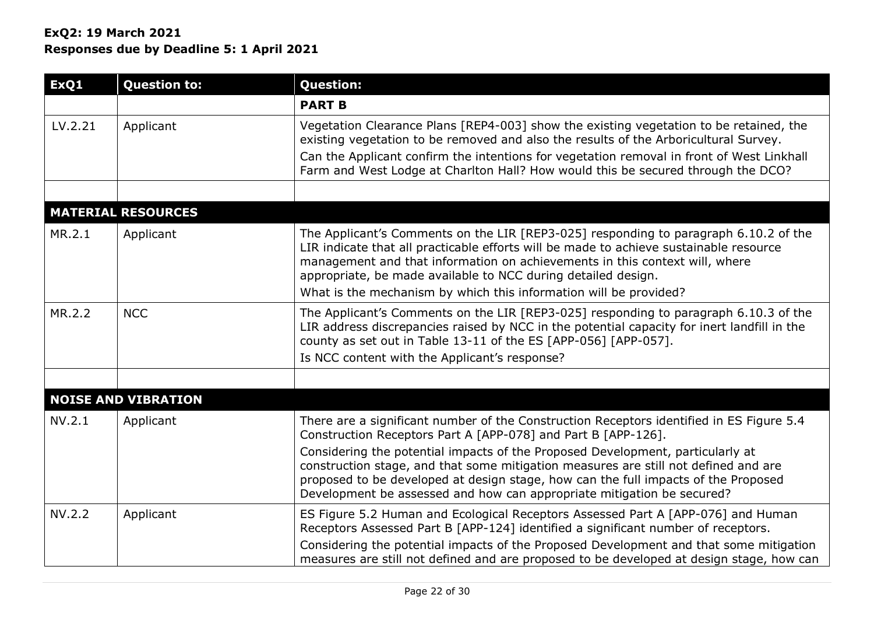| ExQ1          | <b>Question to:</b>        | <b>Question:</b>                                                                                                                                                                                                                                                                                                                                                |
|---------------|----------------------------|-----------------------------------------------------------------------------------------------------------------------------------------------------------------------------------------------------------------------------------------------------------------------------------------------------------------------------------------------------------------|
|               |                            | <b>PART B</b>                                                                                                                                                                                                                                                                                                                                                   |
| LV.2.21       | Applicant                  | Vegetation Clearance Plans [REP4-003] show the existing vegetation to be retained, the<br>existing vegetation to be removed and also the results of the Arboricultural Survey.<br>Can the Applicant confirm the intentions for vegetation removal in front of West Linkhall<br>Farm and West Lodge at Charlton Hall? How would this be secured through the DCO? |
|               |                            |                                                                                                                                                                                                                                                                                                                                                                 |
|               | <b>MATERIAL RESOURCES</b>  |                                                                                                                                                                                                                                                                                                                                                                 |
| MR.2.1        | Applicant                  | The Applicant's Comments on the LIR [REP3-025] responding to paragraph 6.10.2 of the<br>LIR indicate that all practicable efforts will be made to achieve sustainable resource<br>management and that information on achievements in this context will, where<br>appropriate, be made available to NCC during detailed design.                                  |
|               |                            | What is the mechanism by which this information will be provided?                                                                                                                                                                                                                                                                                               |
| MR.2.2        | <b>NCC</b>                 | The Applicant's Comments on the LIR [REP3-025] responding to paragraph 6.10.3 of the<br>LIR address discrepancies raised by NCC in the potential capacity for inert landfill in the<br>county as set out in Table 13-11 of the ES [APP-056] [APP-057].                                                                                                          |
|               |                            | Is NCC content with the Applicant's response?                                                                                                                                                                                                                                                                                                                   |
|               |                            |                                                                                                                                                                                                                                                                                                                                                                 |
|               | <b>NOISE AND VIBRATION</b> |                                                                                                                                                                                                                                                                                                                                                                 |
| NV.2.1        | Applicant                  | There are a significant number of the Construction Receptors identified in ES Figure 5.4<br>Construction Receptors Part A [APP-078] and Part B [APP-126].                                                                                                                                                                                                       |
|               |                            | Considering the potential impacts of the Proposed Development, particularly at<br>construction stage, and that some mitigation measures are still not defined and are<br>proposed to be developed at design stage, how can the full impacts of the Proposed<br>Development be assessed and how can appropriate mitigation be secured?                           |
| <b>NV.2.2</b> | Applicant                  | ES Figure 5.2 Human and Ecological Receptors Assessed Part A [APP-076] and Human<br>Receptors Assessed Part B [APP-124] identified a significant number of receptors.                                                                                                                                                                                           |
|               |                            | Considering the potential impacts of the Proposed Development and that some mitigation<br>measures are still not defined and are proposed to be developed at design stage, how can                                                                                                                                                                              |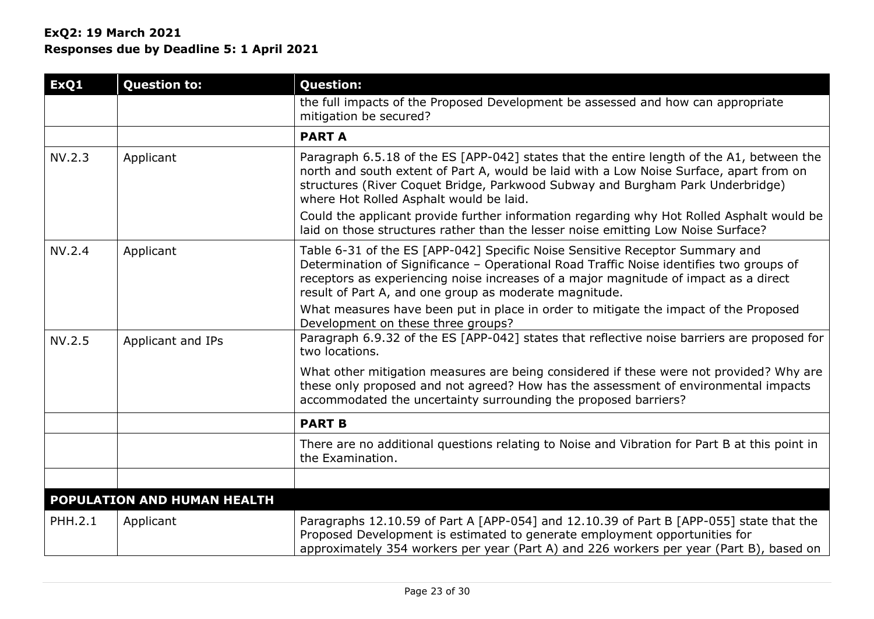## **ExQ2: 19 March 2021**

**Responses due by Deadline 5: 1 April 2021**

| ExQ1    | <b>Question to:</b>         | <b>Question:</b>                                                                                                                                                                                                                                                                                                          |
|---------|-----------------------------|---------------------------------------------------------------------------------------------------------------------------------------------------------------------------------------------------------------------------------------------------------------------------------------------------------------------------|
|         |                             | the full impacts of the Proposed Development be assessed and how can appropriate<br>mitigation be secured?                                                                                                                                                                                                                |
|         |                             | <b>PARTA</b>                                                                                                                                                                                                                                                                                                              |
| NV.2.3  | Applicant                   | Paragraph 6.5.18 of the ES [APP-042] states that the entire length of the A1, between the<br>north and south extent of Part A, would be laid with a Low Noise Surface, apart from on<br>structures (River Coquet Bridge, Parkwood Subway and Burgham Park Underbridge)<br>where Hot Rolled Asphalt would be laid.         |
|         |                             | Could the applicant provide further information regarding why Hot Rolled Asphalt would be<br>laid on those structures rather than the lesser noise emitting Low Noise Surface?                                                                                                                                            |
| NV.2.4  | Applicant                   | Table 6-31 of the ES [APP-042] Specific Noise Sensitive Receptor Summary and<br>Determination of Significance - Operational Road Traffic Noise identifies two groups of<br>receptors as experiencing noise increases of a major magnitude of impact as a direct<br>result of Part A, and one group as moderate magnitude. |
|         |                             | What measures have been put in place in order to mitigate the impact of the Proposed<br>Development on these three groups?                                                                                                                                                                                                |
| NV.2.5  | Applicant and IPs           | Paragraph 6.9.32 of the ES [APP-042] states that reflective noise barriers are proposed for<br>two locations.                                                                                                                                                                                                             |
|         |                             | What other mitigation measures are being considered if these were not provided? Why are<br>these only proposed and not agreed? How has the assessment of environmental impacts<br>accommodated the uncertainty surrounding the proposed barriers?                                                                         |
|         |                             | <b>PART B</b>                                                                                                                                                                                                                                                                                                             |
|         |                             | There are no additional questions relating to Noise and Vibration for Part B at this point in<br>the Examination.                                                                                                                                                                                                         |
|         |                             |                                                                                                                                                                                                                                                                                                                           |
|         | POPULATION AND HUMAN HEALTH |                                                                                                                                                                                                                                                                                                                           |
| PHH.2.1 | Applicant                   | Paragraphs 12.10.59 of Part A [APP-054] and 12.10.39 of Part B [APP-055] state that the<br>Proposed Development is estimated to generate employment opportunities for<br>approximately 354 workers per year (Part A) and 226 workers per year (Part B), based on                                                          |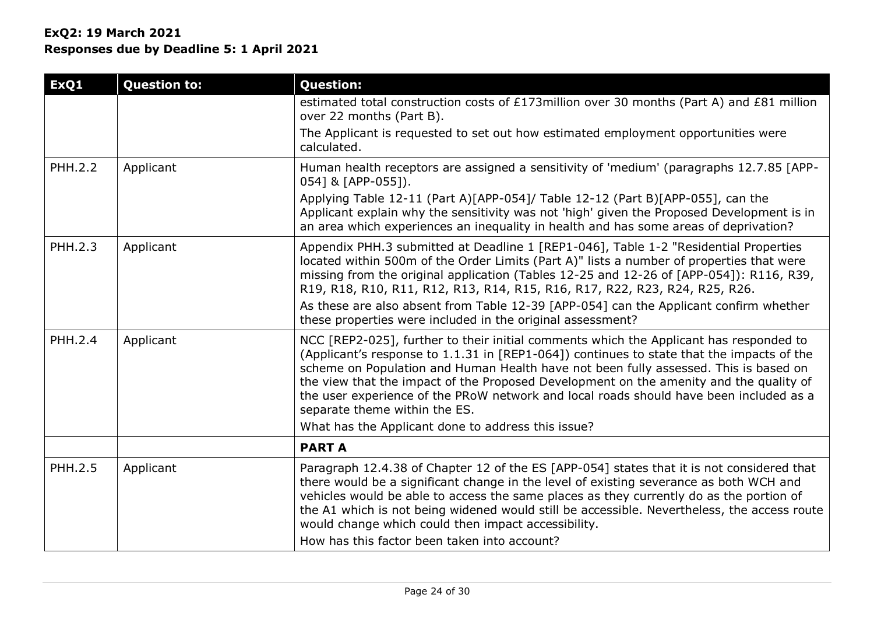## **ExQ2: 19 March 2021**

**Responses due by Deadline 5: 1 April 2021**

| ExQ1           | <b>Question to:</b> | <b>Question:</b>                                                                                                                                                                                                                                                                                                                                                                                                                                                                                 |
|----------------|---------------------|--------------------------------------------------------------------------------------------------------------------------------------------------------------------------------------------------------------------------------------------------------------------------------------------------------------------------------------------------------------------------------------------------------------------------------------------------------------------------------------------------|
|                |                     | estimated total construction costs of £173million over 30 months (Part A) and £81 million<br>over 22 months (Part B).                                                                                                                                                                                                                                                                                                                                                                            |
|                |                     | The Applicant is requested to set out how estimated employment opportunities were<br>calculated.                                                                                                                                                                                                                                                                                                                                                                                                 |
| <b>PHH.2.2</b> | Applicant           | Human health receptors are assigned a sensitivity of 'medium' (paragraphs 12.7.85 [APP-<br>054] & [APP-055]).                                                                                                                                                                                                                                                                                                                                                                                    |
|                |                     | Applying Table 12-11 (Part A)[APP-054]/ Table 12-12 (Part B)[APP-055], can the<br>Applicant explain why the sensitivity was not 'high' given the Proposed Development is in<br>an area which experiences an inequality in health and has some areas of deprivation?                                                                                                                                                                                                                              |
| PHH.2.3        | Applicant           | Appendix PHH.3 submitted at Deadline 1 [REP1-046], Table 1-2 "Residential Properties<br>located within 500m of the Order Limits (Part A)" lists a number of properties that were<br>missing from the original application (Tables 12-25 and 12-26 of [APP-054]): R116, R39,<br>R19, R18, R10, R11, R12, R13, R14, R15, R16, R17, R22, R23, R24, R25, R26.                                                                                                                                        |
|                |                     | As these are also absent from Table 12-39 [APP-054] can the Applicant confirm whether<br>these properties were included in the original assessment?                                                                                                                                                                                                                                                                                                                                              |
| PHH.2.4        | Applicant           | NCC [REP2-025], further to their initial comments which the Applicant has responded to<br>(Applicant's response to 1.1.31 in [REP1-064]) continues to state that the impacts of the<br>scheme on Population and Human Health have not been fully assessed. This is based on<br>the view that the impact of the Proposed Development on the amenity and the quality of<br>the user experience of the PRoW network and local roads should have been included as a<br>separate theme within the ES. |
|                |                     | What has the Applicant done to address this issue?                                                                                                                                                                                                                                                                                                                                                                                                                                               |
|                |                     | <b>PART A</b>                                                                                                                                                                                                                                                                                                                                                                                                                                                                                    |
| PHH.2.5        | Applicant           | Paragraph 12.4.38 of Chapter 12 of the ES [APP-054] states that it is not considered that<br>there would be a significant change in the level of existing severance as both WCH and<br>vehicles would be able to access the same places as they currently do as the portion of<br>the A1 which is not being widened would still be accessible. Nevertheless, the access route<br>would change which could then impact accessibility.<br>How has this factor been taken into account?             |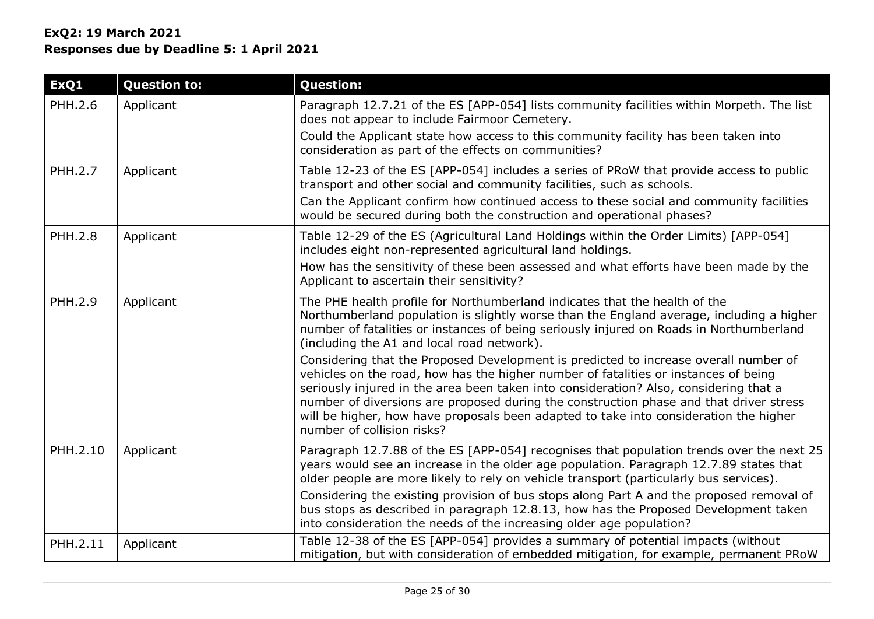| ExQ1           | <b>Question to:</b> | <b>Question:</b>                                                                                                                                                                                                                                                                                                                                                                                                                                                                      |
|----------------|---------------------|---------------------------------------------------------------------------------------------------------------------------------------------------------------------------------------------------------------------------------------------------------------------------------------------------------------------------------------------------------------------------------------------------------------------------------------------------------------------------------------|
| PHH.2.6        | Applicant           | Paragraph 12.7.21 of the ES [APP-054] lists community facilities within Morpeth. The list<br>does not appear to include Fairmoor Cemetery.                                                                                                                                                                                                                                                                                                                                            |
|                |                     | Could the Applicant state how access to this community facility has been taken into<br>consideration as part of the effects on communities?                                                                                                                                                                                                                                                                                                                                           |
| <b>PHH.2.7</b> | Applicant           | Table 12-23 of the ES [APP-054] includes a series of PRoW that provide access to public<br>transport and other social and community facilities, such as schools.                                                                                                                                                                                                                                                                                                                      |
|                |                     | Can the Applicant confirm how continued access to these social and community facilities<br>would be secured during both the construction and operational phases?                                                                                                                                                                                                                                                                                                                      |
| <b>PHH.2.8</b> | Applicant           | Table 12-29 of the ES (Agricultural Land Holdings within the Order Limits) [APP-054]<br>includes eight non-represented agricultural land holdings.                                                                                                                                                                                                                                                                                                                                    |
|                |                     | How has the sensitivity of these been assessed and what efforts have been made by the<br>Applicant to ascertain their sensitivity?                                                                                                                                                                                                                                                                                                                                                    |
| <b>PHH.2.9</b> | Applicant           | The PHE health profile for Northumberland indicates that the health of the<br>Northumberland population is slightly worse than the England average, including a higher<br>number of fatalities or instances of being seriously injured on Roads in Northumberland<br>(including the A1 and local road network).                                                                                                                                                                       |
|                |                     | Considering that the Proposed Development is predicted to increase overall number of<br>vehicles on the road, how has the higher number of fatalities or instances of being<br>seriously injured in the area been taken into consideration? Also, considering that a<br>number of diversions are proposed during the construction phase and that driver stress<br>will be higher, how have proposals been adapted to take into consideration the higher<br>number of collision risks? |
| PHH.2.10       | Applicant           | Paragraph 12.7.88 of the ES [APP-054] recognises that population trends over the next 25<br>years would see an increase in the older age population. Paragraph 12.7.89 states that<br>older people are more likely to rely on vehicle transport (particularly bus services).                                                                                                                                                                                                          |
|                |                     | Considering the existing provision of bus stops along Part A and the proposed removal of<br>bus stops as described in paragraph 12.8.13, how has the Proposed Development taken<br>into consideration the needs of the increasing older age population?                                                                                                                                                                                                                               |
| PHH.2.11       | Applicant           | Table 12-38 of the ES [APP-054] provides a summary of potential impacts (without<br>mitigation, but with consideration of embedded mitigation, for example, permanent PRoW                                                                                                                                                                                                                                                                                                            |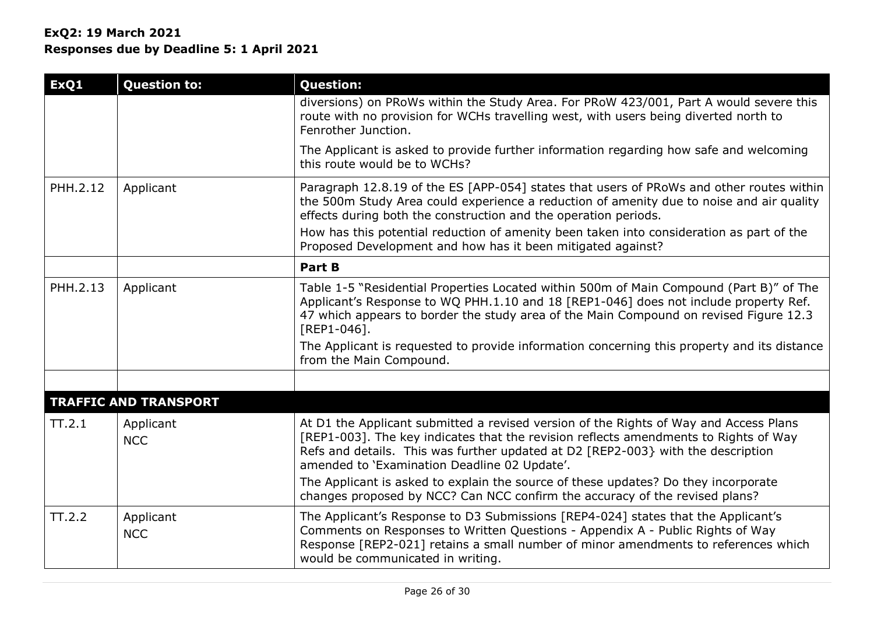| ExQ1     | <b>Question to:</b>          | <b>Question:</b>                                                                                                                                                                                                                                                                                                  |
|----------|------------------------------|-------------------------------------------------------------------------------------------------------------------------------------------------------------------------------------------------------------------------------------------------------------------------------------------------------------------|
|          |                              | diversions) on PRoWs within the Study Area. For PRoW 423/001, Part A would severe this<br>route with no provision for WCHs travelling west, with users being diverted north to<br>Fenrother Junction.                                                                                                             |
|          |                              | The Applicant is asked to provide further information regarding how safe and welcoming<br>this route would be to WCHs?                                                                                                                                                                                            |
| PHH.2.12 | Applicant                    | Paragraph 12.8.19 of the ES [APP-054] states that users of PRoWs and other routes within<br>the 500m Study Area could experience a reduction of amenity due to noise and air quality<br>effects during both the construction and the operation periods.                                                           |
|          |                              | How has this potential reduction of amenity been taken into consideration as part of the<br>Proposed Development and how has it been mitigated against?                                                                                                                                                           |
|          |                              | <b>Part B</b>                                                                                                                                                                                                                                                                                                     |
| PHH.2.13 | Applicant                    | Table 1-5 "Residential Properties Located within 500m of Main Compound (Part B)" of The<br>Applicant's Response to WQ PHH.1.10 and 18 [REP1-046] does not include property Ref.<br>47 which appears to border the study area of the Main Compound on revised Figure 12.3<br>[REP1-046].                           |
|          |                              | The Applicant is requested to provide information concerning this property and its distance<br>from the Main Compound.                                                                                                                                                                                            |
|          |                              |                                                                                                                                                                                                                                                                                                                   |
|          | <b>TRAFFIC AND TRANSPORT</b> |                                                                                                                                                                                                                                                                                                                   |
| TT.2.1   | Applicant<br><b>NCC</b>      | At D1 the Applicant submitted a revised version of the Rights of Way and Access Plans<br>[REP1-003]. The key indicates that the revision reflects amendments to Rights of Way<br>Refs and details. This was further updated at D2 [REP2-003} with the description<br>amended to 'Examination Deadline 02 Update'. |
|          |                              | The Applicant is asked to explain the source of these updates? Do they incorporate<br>changes proposed by NCC? Can NCC confirm the accuracy of the revised plans?                                                                                                                                                 |
| TT.2.2   | Applicant<br><b>NCC</b>      | The Applicant's Response to D3 Submissions [REP4-024] states that the Applicant's<br>Comments on Responses to Written Questions - Appendix A - Public Rights of Way<br>Response [REP2-021] retains a small number of minor amendments to references which<br>would be communicated in writing.                    |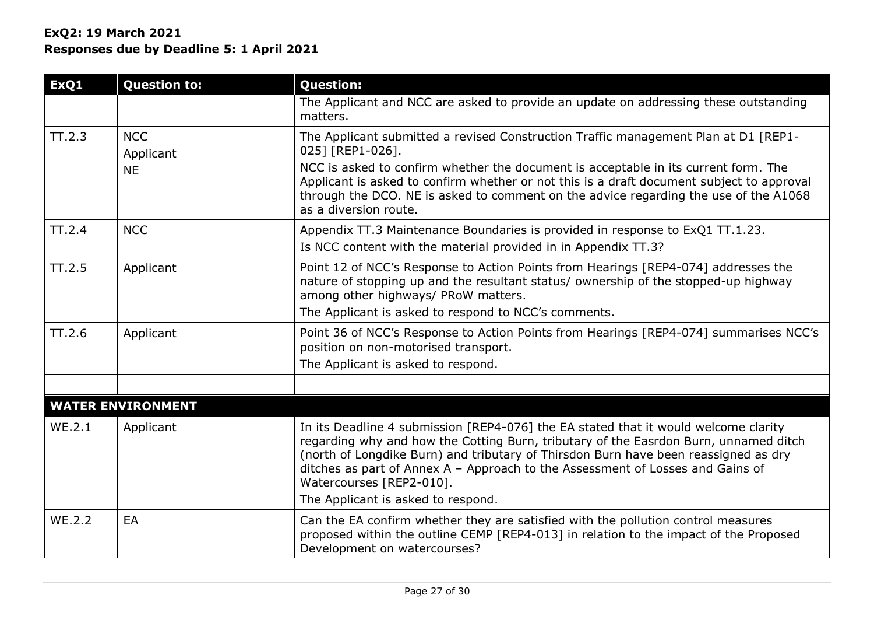| ExQ1          | <b>Question to:</b>      | <b>Question:</b>                                                                                                                                                                                                                                                                                                                                                                                                       |
|---------------|--------------------------|------------------------------------------------------------------------------------------------------------------------------------------------------------------------------------------------------------------------------------------------------------------------------------------------------------------------------------------------------------------------------------------------------------------------|
|               |                          | The Applicant and NCC are asked to provide an update on addressing these outstanding<br>matters.                                                                                                                                                                                                                                                                                                                       |
| TT.2.3        | <b>NCC</b><br>Applicant  | The Applicant submitted a revised Construction Traffic management Plan at D1 [REP1-<br>025] [REP1-026].                                                                                                                                                                                                                                                                                                                |
|               | <b>NE</b>                | NCC is asked to confirm whether the document is acceptable in its current form. The<br>Applicant is asked to confirm whether or not this is a draft document subject to approval<br>through the DCO. NE is asked to comment on the advice regarding the use of the A1068<br>as a diversion route.                                                                                                                      |
| TT.2.4        | <b>NCC</b>               | Appendix TT.3 Maintenance Boundaries is provided in response to ExQ1 TT.1.23.<br>Is NCC content with the material provided in in Appendix TT.3?                                                                                                                                                                                                                                                                        |
| TT.2.5        | Applicant                | Point 12 of NCC's Response to Action Points from Hearings [REP4-074] addresses the<br>nature of stopping up and the resultant status/ ownership of the stopped-up highway<br>among other highways/ PRoW matters.<br>The Applicant is asked to respond to NCC's comments.                                                                                                                                               |
| TT.2.6        | Applicant                | Point 36 of NCC's Response to Action Points from Hearings [REP4-074] summarises NCC's<br>position on non-motorised transport.<br>The Applicant is asked to respond.                                                                                                                                                                                                                                                    |
|               |                          |                                                                                                                                                                                                                                                                                                                                                                                                                        |
|               | <b>WATER ENVIRONMENT</b> |                                                                                                                                                                                                                                                                                                                                                                                                                        |
| <b>WE.2.1</b> | Applicant                | In its Deadline 4 submission [REP4-076] the EA stated that it would welcome clarity<br>regarding why and how the Cotting Burn, tributary of the Easrdon Burn, unnamed ditch<br>(north of Longdike Burn) and tributary of Thirsdon Burn have been reassigned as dry<br>ditches as part of Annex A - Approach to the Assessment of Losses and Gains of<br>Watercourses [REP2-010].<br>The Applicant is asked to respond. |
| <b>WE.2.2</b> | EA                       | Can the EA confirm whether they are satisfied with the pollution control measures<br>proposed within the outline CEMP [REP4-013] in relation to the impact of the Proposed<br>Development on watercourses?                                                                                                                                                                                                             |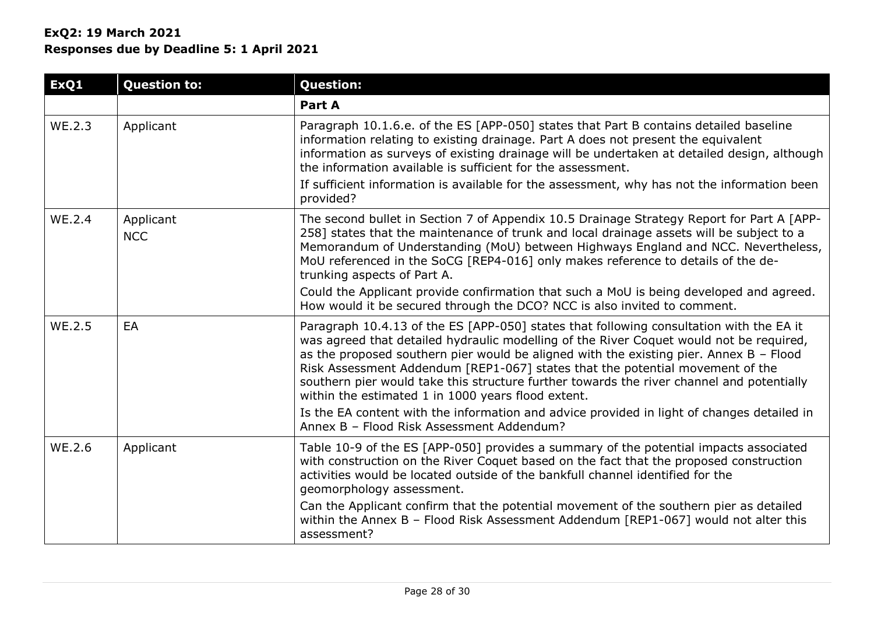| ExQ1   | <b>Question to:</b>     | <b>Question:</b>                                                                                                                                                                                                                                                                                                                                                                                                                                                                                                   |
|--------|-------------------------|--------------------------------------------------------------------------------------------------------------------------------------------------------------------------------------------------------------------------------------------------------------------------------------------------------------------------------------------------------------------------------------------------------------------------------------------------------------------------------------------------------------------|
|        |                         | Part A                                                                                                                                                                                                                                                                                                                                                                                                                                                                                                             |
| WE.2.3 | Applicant               | Paragraph 10.1.6.e. of the ES [APP-050] states that Part B contains detailed baseline<br>information relating to existing drainage. Part A does not present the equivalent<br>information as surveys of existing drainage will be undertaken at detailed design, although<br>the information available is sufficient for the assessment.                                                                                                                                                                           |
|        |                         | If sufficient information is available for the assessment, why has not the information been<br>provided?                                                                                                                                                                                                                                                                                                                                                                                                           |
| WE.2.4 | Applicant<br><b>NCC</b> | The second bullet in Section 7 of Appendix 10.5 Drainage Strategy Report for Part A [APP-<br>258] states that the maintenance of trunk and local drainage assets will be subject to a<br>Memorandum of Understanding (MoU) between Highways England and NCC. Nevertheless,<br>MoU referenced in the SoCG [REP4-016] only makes reference to details of the de-<br>trunking aspects of Part A.                                                                                                                      |
|        |                         | Could the Applicant provide confirmation that such a MoU is being developed and agreed.<br>How would it be secured through the DCO? NCC is also invited to comment.                                                                                                                                                                                                                                                                                                                                                |
| WE.2.5 | EA                      | Paragraph 10.4.13 of the ES [APP-050] states that following consultation with the EA it<br>was agreed that detailed hydraulic modelling of the River Coquet would not be required,<br>as the proposed southern pier would be aligned with the existing pier. Annex $B -$ Flood<br>Risk Assessment Addendum [REP1-067] states that the potential movement of the<br>southern pier would take this structure further towards the river channel and potentially<br>within the estimated 1 in 1000 years flood extent. |
|        |                         | Is the EA content with the information and advice provided in light of changes detailed in<br>Annex B - Flood Risk Assessment Addendum?                                                                                                                                                                                                                                                                                                                                                                            |
| WE.2.6 | Applicant               | Table 10-9 of the ES [APP-050] provides a summary of the potential impacts associated<br>with construction on the River Coquet based on the fact that the proposed construction<br>activities would be located outside of the bankfull channel identified for the<br>geomorphology assessment.                                                                                                                                                                                                                     |
|        |                         | Can the Applicant confirm that the potential movement of the southern pier as detailed<br>within the Annex B - Flood Risk Assessment Addendum [REP1-067] would not alter this<br>assessment?                                                                                                                                                                                                                                                                                                                       |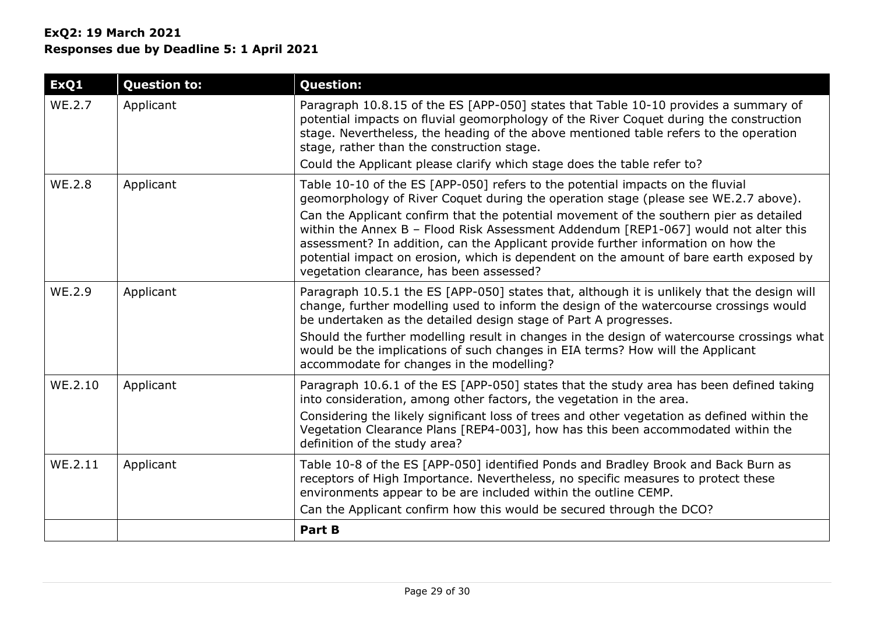| ExQ1          | <b>Question to:</b> | <b>Question:</b>                                                                                                                                                                                                                                                                                                                                                                                                                                                                                                                                                                  |
|---------------|---------------------|-----------------------------------------------------------------------------------------------------------------------------------------------------------------------------------------------------------------------------------------------------------------------------------------------------------------------------------------------------------------------------------------------------------------------------------------------------------------------------------------------------------------------------------------------------------------------------------|
| WE.2.7        | Applicant           | Paragraph 10.8.15 of the ES [APP-050] states that Table 10-10 provides a summary of<br>potential impacts on fluvial geomorphology of the River Coquet during the construction<br>stage. Nevertheless, the heading of the above mentioned table refers to the operation<br>stage, rather than the construction stage.                                                                                                                                                                                                                                                              |
|               |                     | Could the Applicant please clarify which stage does the table refer to?                                                                                                                                                                                                                                                                                                                                                                                                                                                                                                           |
| <b>WE.2.8</b> | Applicant           | Table 10-10 of the ES [APP-050] refers to the potential impacts on the fluvial<br>geomorphology of River Coquet during the operation stage (please see WE.2.7 above).<br>Can the Applicant confirm that the potential movement of the southern pier as detailed<br>within the Annex B - Flood Risk Assessment Addendum [REP1-067] would not alter this<br>assessment? In addition, can the Applicant provide further information on how the<br>potential impact on erosion, which is dependent on the amount of bare earth exposed by<br>vegetation clearance, has been assessed? |
| WE.2.9        | Applicant           | Paragraph 10.5.1 the ES [APP-050] states that, although it is unlikely that the design will<br>change, further modelling used to inform the design of the watercourse crossings would<br>be undertaken as the detailed design stage of Part A progresses.<br>Should the further modelling result in changes in the design of watercourse crossings what<br>would be the implications of such changes in EIA terms? How will the Applicant<br>accommodate for changes in the modelling?                                                                                            |
| WE.2.10       | Applicant           | Paragraph 10.6.1 of the ES [APP-050] states that the study area has been defined taking<br>into consideration, among other factors, the vegetation in the area.<br>Considering the likely significant loss of trees and other vegetation as defined within the<br>Vegetation Clearance Plans [REP4-003], how has this been accommodated within the<br>definition of the study area?                                                                                                                                                                                               |
| WE.2.11       | Applicant           | Table 10-8 of the ES [APP-050] identified Ponds and Bradley Brook and Back Burn as<br>receptors of High Importance. Nevertheless, no specific measures to protect these<br>environments appear to be are included within the outline CEMP.<br>Can the Applicant confirm how this would be secured through the DCO?                                                                                                                                                                                                                                                                |
|               |                     | <b>Part B</b>                                                                                                                                                                                                                                                                                                                                                                                                                                                                                                                                                                     |